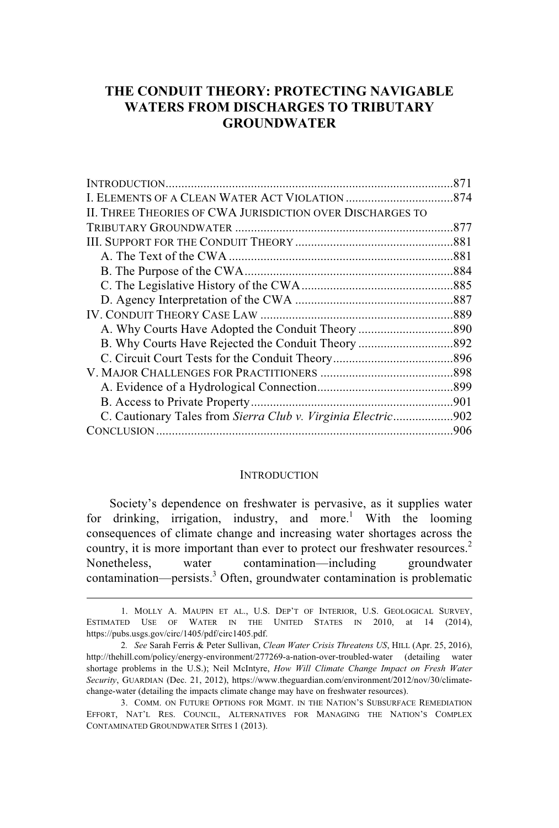# **THE CONDUIT THEORY: PROTECTING NAVIGABLE WATERS FROM DISCHARGES TO TRIBUTARY GROUNDWATER**

| .871                                                         |
|--------------------------------------------------------------|
|                                                              |
|                                                              |
|                                                              |
|                                                              |
|                                                              |
|                                                              |
|                                                              |
|                                                              |
|                                                              |
|                                                              |
|                                                              |
|                                                              |
|                                                              |
|                                                              |
|                                                              |
| C. Cautionary Tales from Sierra Club v. Virginia Electric902 |
|                                                              |
|                                                              |

#### **INTRODUCTION**

Society's dependence on freshwater is pervasive, as it supplies water for drinking, irrigation, industry, and more.<sup>1</sup> With the looming consequences of climate change and increasing water shortages across the country, it is more important than ever to protect our freshwater resources.<sup>2</sup> Nonetheless, water contamination—including groundwater contamination—persists.<sup>3</sup> Often, groundwater contamination is problematic

<sup>1.</sup> MOLLY A. MAUPIN ET AL., U.S. DEP'T OF INTERIOR, U.S. GEOLOGICAL SURVEY, ESTIMATED USE OF WATER IN THE UNITED STATES IN 2010, at 14 (2014), https://pubs.usgs.gov/circ/1405/pdf/circ1405.pdf.

<sup>2</sup>*. See* Sarah Ferris & Peter Sullivan, *Clean Water Crisis Threatens US*, HILL (Apr. 25, 2016), http://thehill.com/policy/energy-environment/277269-a-nation-over-troubled-water (detailing water shortage problems in the U.S.); Neil McIntyre, *How Will Climate Change Impact on Fresh Water Security*, GUARDIAN (Dec. 21, 2012), https://www.theguardian.com/environment/2012/nov/30/climatechange-water (detailing the impacts climate change may have on freshwater resources).

<sup>3.</sup> COMM. ON FUTURE OPTIONS FOR MGMT. IN THE NATION'S SUBSURFACE REMEDIATION EFFORT, NAT'L RES. COUNCIL, ALTERNATIVES FOR MANAGING THE NATION'S COMPLEX CONTAMINATED GROUNDWATER SITES 1 (2013).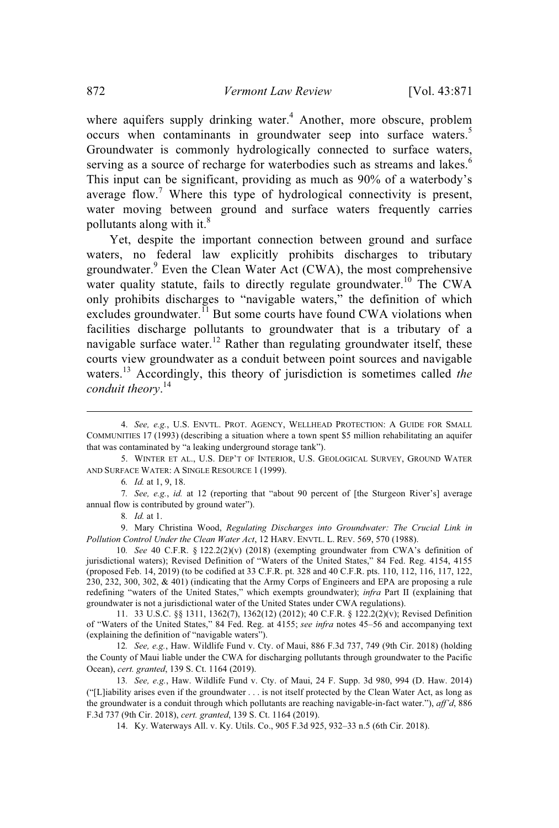where aquifers supply drinking water.<sup>4</sup> Another, more obscure, problem occurs when contaminants in groundwater seep into surface waters.<sup>5</sup> Groundwater is commonly hydrologically connected to surface waters, serving as a source of recharge for waterbodies such as streams and lakes.<sup>6</sup> This input can be significant, providing as much as 90% of a waterbody's average flow.<sup>7</sup> Where this type of hydrological connectivity is present, water moving between ground and surface waters frequently carries pollutants along with it.<sup>8</sup>

Yet, despite the important connection between ground and surface waters, no federal law explicitly prohibits discharges to tributary groundwater.<sup>9</sup> Even the Clean Water Act (CWA), the most comprehensive water quality statute, fails to directly regulate groundwater.<sup>10</sup> The CWA only prohibits discharges to "navigable waters," the definition of which excludes groundwater. $^{11}$  But some courts have found CWA violations when facilities discharge pollutants to groundwater that is a tributary of a navigable surface water.<sup>12</sup> Rather than regulating groundwater itself, these courts view groundwater as a conduit between point sources and navigable waters. <sup>13</sup> Accordingly, this theory of jurisdiction is sometimes called *the conduit theory*. 14

9. Mary Christina Wood, *Regulating Discharges into Groundwater: The Crucial Link in Pollution Control Under the Clean Water Act*, 12 HARV. ENVTL. L. REV. 569, 570 (1988).

10*. See* 40 C.F.R. § 122.2(2)(v) (2018) (exempting groundwater from CWA's definition of jurisdictional waters); Revised Definition of "Waters of the United States," 84 Fed. Reg. 4154, 4155 (proposed Feb. 14, 2019) (to be codified at 33 C.F.R. pt. 328 and 40 C.F.R. pts. 110, 112, 116, 117, 122, 230, 232, 300, 302, & 401) (indicating that the Army Corps of Engineers and EPA are proposing a rule redefining "waters of the United States," which exempts groundwater); *infra* Part II (explaining that groundwater is not a jurisdictional water of the United States under CWA regulations).

11. 33 U.S.C. §§ 1311, 1362(7), 1362(12) (2012); 40 C.F.R. § 122.2(2)(v); Revised Definition of "Waters of the United States," 84 Fed. Reg. at 4155; *see infra* notes 45–56 and accompanying text (explaining the definition of "navigable waters").

12*. See, e.g.*, Haw. Wildlife Fund v. Cty. of Maui, 886 F.3d 737, 749 (9th Cir. 2018) (holding the County of Maui liable under the CWA for discharging pollutants through groundwater to the Pacific Ocean), *cert. granted*, 139 S. Ct. 1164 (2019).

13*. See, e.g.*, Haw. Wildlife Fund v. Cty. of Maui, 24 F. Supp. 3d 980, 994 (D. Haw. 2014) ("[L]iability arises even if the groundwater . . . is not itself protected by the Clean Water Act, as long as the groundwater is a conduit through which pollutants are reaching navigable-in-fact water."), *aff'd*, 886 F.3d 737 (9th Cir. 2018), *cert. granted*, 139 S. Ct. 1164 (2019).

14. Ky. Waterways All. v. Ky. Utils. Co., 905 F.3d 925, 932–33 n.5 (6th Cir. 2018).

<sup>4.</sup> *See, e.g.*, U.S. ENVTL. PROT. AGENCY, WELLHEAD PROTECTION: A GUIDE FOR SMALL COMMUNITIES 17 (1993) (describing a situation where a town spent \$5 million rehabilitating an aquifer that was contaminated by "a leaking underground storage tank").

<sup>5.</sup> WINTER ET AL., U.S. DEP'T OF INTERIOR, U.S. GEOLOGICAL SURVEY, GROUND WATER AND SURFACE WATER: A SINGLE RESOURCE 1 (1999).

<sup>6</sup>*. Id.* at 1, 9, 18.

<sup>7</sup>*. See, e.g.*, *id.* at 12 (reporting that "about 90 percent of [the Sturgeon River's] average annual flow is contributed by ground water").

<sup>8</sup>*. Id.* at 1.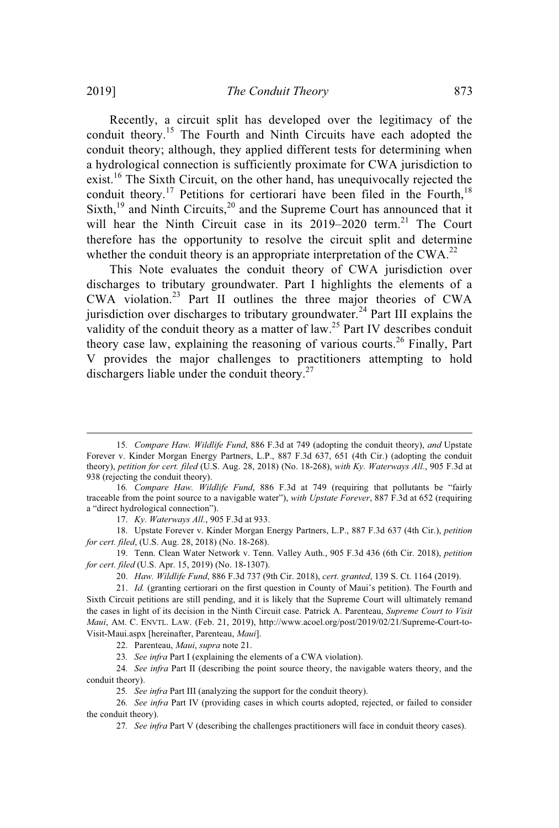Recently, a circuit split has developed over the legitimacy of the conduit theory.<sup>15</sup> The Fourth and Ninth Circuits have each adopted the conduit theory; although, they applied different tests for determining when a hydrological connection is sufficiently proximate for CWA jurisdiction to exist.<sup>16</sup> The Sixth Circuit, on the other hand, has unequivocally rejected the conduit theory.<sup>17</sup> Petitions for certiorari have been filed in the Fourth,<sup>18</sup> Sixth,<sup>19</sup> and Ninth Circuits,<sup>20</sup> and the Supreme Court has announced that it will hear the Ninth Circuit case in its 2019–2020 term.<sup>21</sup> The Court therefore has the opportunity to resolve the circuit split and determine whether the conduit theory is an appropriate interpretation of the CWA.<sup>22</sup>

This Note evaluates the conduit theory of CWA jurisdiction over discharges to tributary groundwater. Part I highlights the elements of a CWA violation. <sup>23</sup> Part II outlines the three major theories of CWA jurisdiction over discharges to tributary groundwater.<sup>24</sup> Part III explains the validity of the conduit theory as a matter of law.<sup>25</sup> Part IV describes conduit theory case law, explaining the reasoning of various courts.<sup>26</sup> Finally, Part V provides the major challenges to practitioners attempting to hold dischargers liable under the conduit theory.<sup>27</sup>

18. Upstate Forever v. Kinder Morgan Energy Partners, L.P., 887 F.3d 637 (4th Cir.), *petition for cert. filed*, (U.S. Aug. 28, 2018) (No. 18-268).

19. Tenn. Clean Water Network v. Tenn. Valley Auth., 905 F.3d 436 (6th Cir. 2018), *petition for cert. filed* (U.S. Apr. 15, 2019) (No. 18-1307).

20. *Haw. Wildlife Fund*, 886 F.3d 737 (9th Cir. 2018), *cert. granted*, 139 S. Ct. 1164 (2019).

21. *Id.* (granting certiorari on the first question in County of Maui's petition). The Fourth and Sixth Circuit petitions are still pending, and it is likely that the Supreme Court will ultimately remand the cases in light of its decision in the Ninth Circuit case. Patrick A. Parenteau, *Supreme Court to Visit Maui*, AM. C. ENVTL. LAW. (Feb. 21, 2019), http://www.acoel.org/post/2019/02/21/Supreme-Court-to-Visit-Maui.aspx [hereinafter, Parenteau, *Maui*].

22. Parenteau, *Maui*, *supra* note 21.

23*. See infra* Part I (explaining the elements of a CWA violation).

24*. See infra* Part II (describing the point source theory, the navigable waters theory, and the conduit theory).

25*. See infra* Part III (analyzing the support for the conduit theory).

26*. See infra* Part IV (providing cases in which courts adopted, rejected, or failed to consider the conduit theory).

27*. See infra* Part V (describing the challenges practitioners will face in conduit theory cases).

<sup>15</sup>*. Compare Haw. Wildlife Fund*, 886 F.3d at 749 (adopting the conduit theory), *and* Upstate Forever v. Kinder Morgan Energy Partners, L.P., 887 F.3d 637, 651 (4th Cir.) (adopting the conduit theory), *petition for cert. filed* (U.S. Aug. 28, 2018) (No. 18-268), *with Ky. Waterways All.*, 905 F.3d at 938 (rejecting the conduit theory).

<sup>16</sup>*. Compare Haw. Wildlife Fund*, 886 F.3d at 749 (requiring that pollutants be "fairly traceable from the point source to a navigable water"), *with Upstate Forever*, 887 F.3d at 652 (requiring a "direct hydrological connection").

<sup>17.</sup> *Ky. Waterways All.*, 905 F.3d at 933.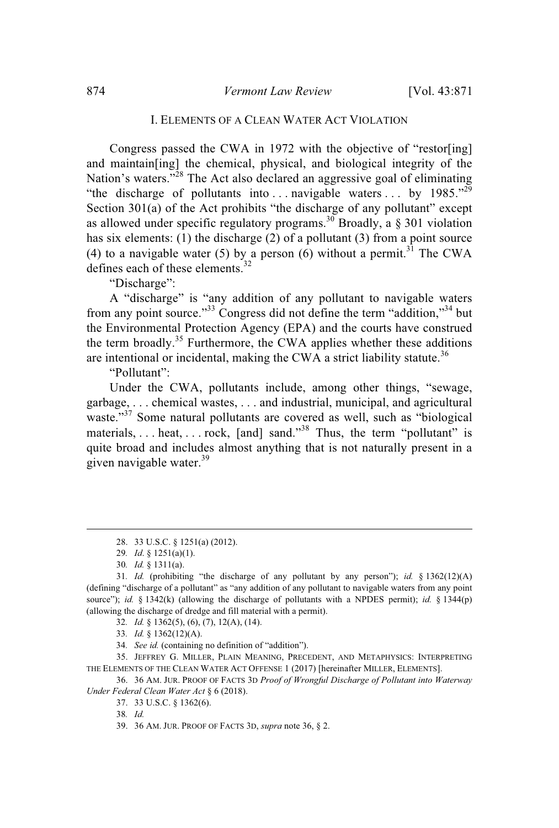## I. ELEMENTS OF A CLEAN WATER ACT VIOLATION

Congress passed the CWA in 1972 with the objective of "restor[ing] and maintain[ing] the chemical, physical, and biological integrity of the Nation's waters."<sup>28</sup> The Act also declared an aggressive goal of eliminating "the discharge of pollutants into ... navigable waters ... by  $1985.^{29}$ Section 301(a) of the Act prohibits "the discharge of any pollutant" except as allowed under specific regulatory programs.<sup>30</sup> Broadly, a  $\S 301$  violation has six elements: (1) the discharge (2) of a pollutant (3) from a point source (4) to a navigable water (5) by a person (6) without a permit.<sup>31</sup> The CWA defines each of these elements.<sup>32</sup>

"Discharge":

A "discharge" is "any addition of any pollutant to navigable waters from any point source."<sup>33</sup> Congress did not define the term "addition,"<sup>34</sup> but the Environmental Protection Agency (EPA) and the courts have construed the term broadly.<sup>35</sup> Furthermore, the CWA applies whether these additions are intentional or incidental, making the CWA a strict liability statute.<sup>36</sup>

"Pollutant":

Under the CWA, pollutants include, among other things, "sewage, garbage, . . . chemical wastes, . . . and industrial, municipal, and agricultural waste."<sup>37</sup> Some natural pollutants are covered as well, such as "biological materials, ... heat, ... rock, [and] sand."<sup>38</sup> Thus, the term "pollutant" is quite broad and includes almost anything that is not naturally present in a given navigable water. 39

34*. See id.* (containing no definition of "addition").

35. JEFFREY G. MILLER, PLAIN MEANING, PRECEDENT, AND METAPHYSICS: INTERPRETING THE ELEMENTS OF THE CLEAN WATER ACT OFFENSE 1 (2017) [hereinafter MILLER, ELEMENTS].

37. 33 U.S.C. § 1362(6).

38*. Id.*

39. 36 AM. JUR. PROOF OF FACTS 3D, *supra* note 36, § 2.

<sup>28.</sup> 33 U.S.C. § 1251(a) (2012).

<sup>29</sup>*. Id*. § 1251(a)(1).

<sup>30</sup>*. Id.* § 1311(a).

<sup>31</sup>*. Id.* (prohibiting "the discharge of any pollutant by any person"); *id.* § 1362(12)(A) (defining "discharge of a pollutant" as "any addition of any pollutant to navigable waters from any point source"); *id.* § 1342(k) (allowing the discharge of pollutants with a NPDES permit); *id.* § 1344(p) (allowing the discharge of dredge and fill material with a permit).

<sup>32</sup>*. Id.* § 1362(5), (6), (7), 12(A), (14).

<sup>33</sup>*. Id.* § 1362(12)(A).

<sup>36.</sup> 36 AM. JUR. PROOF OF FACTS 3D *Proof of Wrongful Discharge of Pollutant into Waterway Under Federal Clean Water Act* § 6 (2018).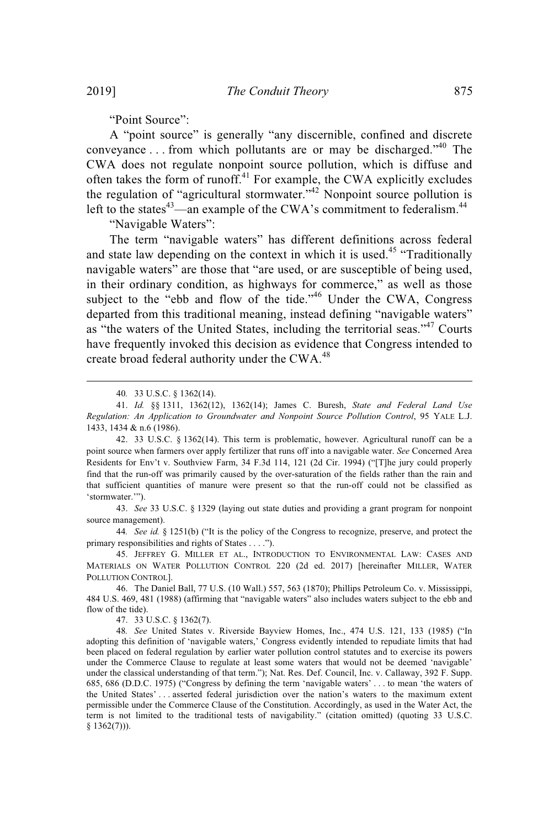"Point Source":

A "point source" is generally "any discernible, confined and discrete conveyance . . . from which pollutants are or may be discharged."<sup>40</sup> The CWA does not regulate nonpoint source pollution, which is diffuse and often takes the form of runoff.<sup>41</sup> For example, the CWA explicitly excludes the regulation of "agricultural stormwater."<sup>42</sup> Nonpoint source pollution is left to the states<sup>43</sup>—an example of the CWA's commitment to federalism.<sup>44</sup>

"Navigable Waters":

The term "navigable waters" has different definitions across federal and state law depending on the context in which it is used.<sup>45</sup> "Traditionally navigable waters" are those that "are used, or are susceptible of being used, in their ordinary condition, as highways for commerce," as well as those subject to the "ebb and flow of the tide."<sup>46</sup> Under the CWA, Congress departed from this traditional meaning, instead defining "navigable waters" as "the waters of the United States, including the territorial seas."<sup>47</sup> Courts have frequently invoked this decision as evidence that Congress intended to create broad federal authority under the CWA.<sup>48</sup>

42. 33 U.S.C. § 1362(14). This term is problematic, however. Agricultural runoff can be a point source when farmers over apply fertilizer that runs off into a navigable water. *See* Concerned Area Residents for Env't v. Southview Farm, 34 F.3d 114, 121 (2d Cir. 1994) ("[T]he jury could properly find that the run-off was primarily caused by the over-saturation of the fields rather than the rain and that sufficient quantities of manure were present so that the run-off could not be classified as 'stormwater.'").

43. *See* 33 U.S.C. § 1329 (laying out state duties and providing a grant program for nonpoint source management).

44*. See id.* § 1251(b) ("It is the policy of the Congress to recognize, preserve, and protect the primary responsibilities and rights of States . . . .").

45. JEFFREY G. MILLER ET AL., INTRODUCTION TO ENVIRONMENTAL LAW: CASES AND MATERIALS ON WATER POLLUTION CONTROL 220 (2d ed. 2017) [hereinafter MILLER, WATER POLLUTION CONTROL].

46. The Daniel Ball, 77 U.S. (10 Wall.) 557, 563 (1870); Phillips Petroleum Co. v. Mississippi, 484 U.S. 469, 481 (1988) (affirming that "navigable waters" also includes waters subject to the ebb and flow of the tide).

47. 33 U.S.C. § 1362(7).

48*. See* United States v. Riverside Bayview Homes, Inc., 474 U.S. 121, 133 (1985) ("In adopting this definition of 'navigable waters,' Congress evidently intended to repudiate limits that had been placed on federal regulation by earlier water pollution control statutes and to exercise its powers under the Commerce Clause to regulate at least some waters that would not be deemed 'navigable' under the classical understanding of that term."); Nat. Res. Def. Council, Inc. v. Callaway, 392 F. Supp. 685, 686 (D.D.C. 1975) ("Congress by defining the term 'navigable waters' . . . to mean 'the waters of the United States' . . . asserted federal jurisdiction over the nation's waters to the maximum extent permissible under the Commerce Clause of the Constitution. Accordingly, as used in the Water Act, the term is not limited to the traditional tests of navigability." (citation omitted) (quoting 33 U.S.C. § 1362(7))).

<sup>40</sup>*.* 33 U.S.C. § 1362(14).

<sup>41.</sup> *Id.* §§ 1311, 1362(12), 1362(14); James C. Buresh, *State and Federal Land Use Regulation: An Application to Groundwater and Nonpoint Source Pollution Control*, 95 YALE L.J. 1433, 1434 & n.6 (1986).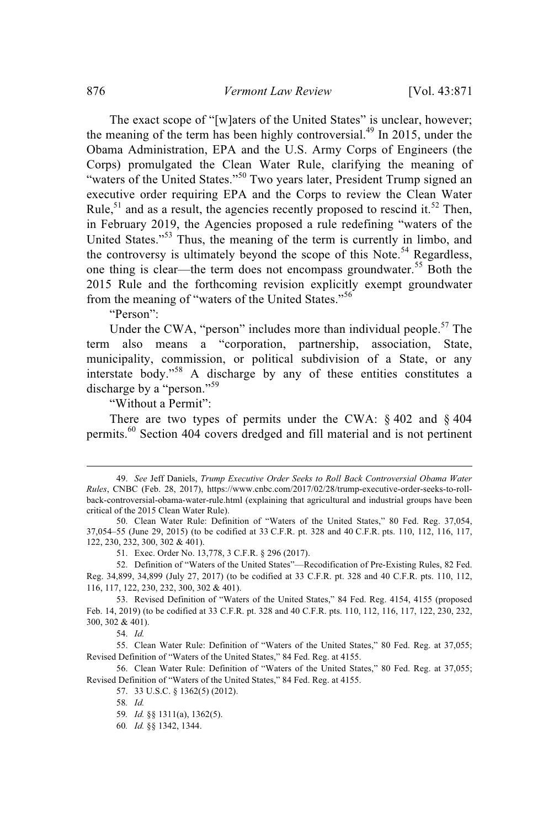The exact scope of "[w]aters of the United States" is unclear, however; the meaning of the term has been highly controversial.<sup>49</sup> In 2015, under the Obama Administration, EPA and the U.S. Army Corps of Engineers (the Corps) promulgated the Clean Water Rule, clarifying the meaning of "waters of the United States."<sup>50</sup> Two years later, President Trump signed an executive order requiring EPA and the Corps to review the Clean Water Rule,<sup>51</sup> and as a result, the agencies recently proposed to rescind it.<sup>52</sup> Then, in February 2019, the Agencies proposed a rule redefining "waters of the United States."<sup>53</sup> Thus, the meaning of the term is currently in limbo, and the controversy is ultimately beyond the scope of this Note.<sup>54</sup> Regardless, one thing is clear—the term does not encompass groundwater.<sup>55</sup> Both the 2015 Rule and the forthcoming revision explicitly exempt groundwater from the meaning of "waters of the United States."<sup>56</sup>

"Person":

Under the CWA, "person" includes more than individual people. $57$  The term also means a "corporation, partnership, association, State, municipality, commission, or political subdivision of a State, or any interstate body."<sup>58</sup> A discharge by any of these entities constitutes a discharge by a "person."<sup>59</sup>

"Without a Permit":

There are two types of permits under the CWA: § 402 and § 404 permits.<sup>60</sup> Section 404 covers dredged and fill material and is not pertinent

<sup>49.</sup> *See* Jeff Daniels, *Trump Executive Order Seeks to Roll Back Controversial Obama Water Rules*, CNBC (Feb. 28, 2017), https://www.cnbc.com/2017/02/28/trump-executive-order-seeks-to-rollback-controversial-obama-water-rule.html (explaining that agricultural and industrial groups have been critical of the 2015 Clean Water Rule).

<sup>50.</sup> Clean Water Rule: Definition of "Waters of the United States," 80 Fed. Reg. 37,054, 37,054–55 (June 29, 2015) (to be codified at 33 C.F.R. pt. 328 and 40 C.F.R. pts. 110, 112, 116, 117, 122, 230, 232, 300, 302 & 401).

<sup>51.</sup> Exec. Order No. 13,778, 3 C.F.R. § 296 (2017).

<sup>52.</sup> Definition of "Waters of the United States"—Recodification of Pre-Existing Rules, 82 Fed. Reg. 34,899, 34,899 (July 27, 2017) (to be codified at 33 C.F.R. pt. 328 and 40 C.F.R. pts. 110, 112, 116, 117, 122, 230, 232, 300, 302 & 401).

<sup>53.</sup> Revised Definition of "Waters of the United States," 84 Fed. Reg. 4154, 4155 (proposed Feb. 14, 2019) (to be codified at 33 C.F.R. pt. 328 and 40 C.F.R. pts. 110, 112, 116, 117, 122, 230, 232, 300, 302 & 401).

<sup>54.</sup> *Id.*

<sup>55.</sup> Clean Water Rule: Definition of "Waters of the United States," 80 Fed. Reg. at 37,055; Revised Definition of "Waters of the United States," 84 Fed. Reg. at 4155.

<sup>56.</sup> Clean Water Rule: Definition of "Waters of the United States," 80 Fed. Reg. at 37,055; Revised Definition of "Waters of the United States," 84 Fed. Reg. at 4155.

<sup>57.</sup> 33 U.S.C. § 1362(5) (2012).

<sup>58</sup>*. Id.*

<sup>59</sup>*. Id.* §§ 1311(a), 1362(5).

<sup>60</sup>*. Id.* §§ 1342, 1344.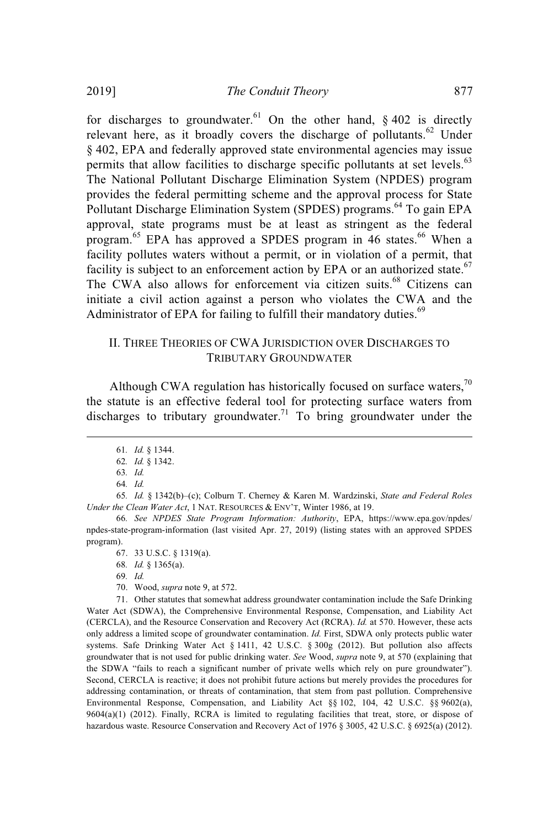for discharges to groundwater.<sup>61</sup> On the other hand,  $\frac{1}{2}$  and  $\frac{1}{2}$  is directly relevant here, as it broadly covers the discharge of pollutants.<sup>62</sup> Under § 402, EPA and federally approved state environmental agencies may issue permits that allow facilities to discharge specific pollutants at set levels. $63$ The National Pollutant Discharge Elimination System (NPDES) program provides the federal permitting scheme and the approval process for State Pollutant Discharge Elimination System (SPDES) programs.<sup>64</sup> To gain EPA approval, state programs must be at least as stringent as the federal program.<sup>65</sup> EPA has approved a SPDES program in 46 states.<sup>66</sup> When a facility pollutes waters without a permit, or in violation of a permit, that facility is subject to an enforcement action by EPA or an authorized state.<sup>67</sup> The CWA also allows for enforcement via citizen suits.<sup>68</sup> Citizens can initiate a civil action against a person who violates the CWA and the Administrator of EPA for failing to fulfill their mandatory duties.<sup>69</sup>

# II. THREE THEORIES OF CWA JURISDICTION OVER DISCHARGES TO TRIBUTARY GROUNDWATER

Although CWA regulation has historically focused on surface waters, $\frac{70}{10}$ the statute is an effective federal tool for protecting surface waters from discharges to tributary groundwater.<sup>71</sup> To bring groundwater under the

70. Wood, *supra* note 9, at 572.

71. Other statutes that somewhat address groundwater contamination include the Safe Drinking Water Act (SDWA), the Comprehensive Environmental Response, Compensation, and Liability Act (CERCLA), and the Resource Conservation and Recovery Act (RCRA). *Id.* at 570. However, these acts only address a limited scope of groundwater contamination. *Id.* First, SDWA only protects public water systems. Safe Drinking Water Act § 1411, 42 U.S.C. § 300g (2012). But pollution also affects groundwater that is not used for public drinking water. *See* Wood, *supra* note 9, at 570 (explaining that the SDWA "fails to reach a significant number of private wells which rely on pure groundwater"). Second, CERCLA is reactive; it does not prohibit future actions but merely provides the procedures for addressing contamination, or threats of contamination, that stem from past pollution. Comprehensive Environmental Response, Compensation, and Liability Act §§ 102, 104, 42 U.S.C. §§ 9602(a), 9604(a)(1) (2012). Finally, RCRA is limited to regulating facilities that treat, store, or dispose of hazardous waste. Resource Conservation and Recovery Act of 1976 § 3005, 42 U.S.C. § 6925(a) (2012).

<sup>61</sup>*. Id.* § 1344.

<sup>62</sup>*. Id.* § 1342.

<sup>63</sup>*. Id.*

<sup>64</sup>*. Id.*

<sup>65</sup>*. Id.* § 1342(b)–(c); Colburn T. Cherney & Karen M. Wardzinski, *State and Federal Roles Under the Clean Water Act*, 1 NAT. RESOURCES & ENV'T, Winter 1986, at 19.

<sup>66</sup>*. See NPDES State Program Information: Authority*, EPA, https://www.epa.gov/npdes/ npdes-state-program-information (last visited Apr. 27, 2019) (listing states with an approved SPDES program).

<sup>67.</sup> 33 U.S.C. § 1319(a).

<sup>68</sup>*. Id.* § 1365(a).

<sup>69</sup>*. Id.*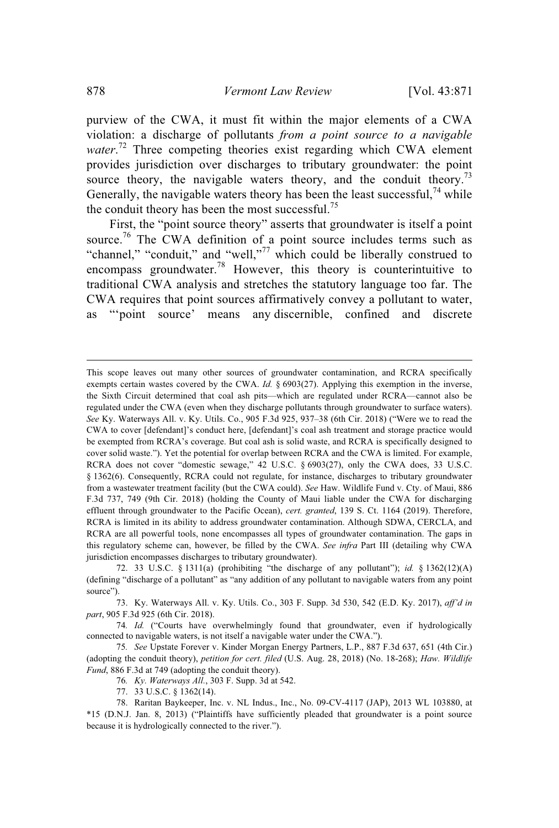purview of the CWA, it must fit within the major elements of a CWA violation: a discharge of pollutants *from a point source to a navigable* water.<sup>72</sup> Three competing theories exist regarding which CWA element provides jurisdiction over discharges to tributary groundwater: the point source theory, the navigable waters theory, and the conduit theory.<sup>73</sup> Generally, the navigable waters theory has been the least successful,  $74$  while the conduit theory has been the most successful.<sup>75</sup>

First, the "point source theory" asserts that groundwater is itself a point source.<sup>76</sup> The CWA definition of a point source includes terms such as "channel," "conduit," and "well,"<sup>77</sup> which could be liberally construed to encompass groundwater.<sup>78</sup> However, this theory is counterintuitive to traditional CWA analysis and stretches the statutory language too far. The CWA requires that point sources affirmatively convey a pollutant to water, as "'point source' means any discernible, confined and discrete

77. 33 U.S.C. § 1362(14).

This scope leaves out many other sources of groundwater contamination, and RCRA specifically exempts certain wastes covered by the CWA. *Id.* § 6903(27). Applying this exemption in the inverse, the Sixth Circuit determined that coal ash pits—which are regulated under RCRA—cannot also be regulated under the CWA (even when they discharge pollutants through groundwater to surface waters). *See* Ky. Waterways All. v. Ky. Utils. Co., 905 F.3d 925, 937–38 (6th Cir. 2018) ("Were we to read the CWA to cover [defendant]'s conduct here, [defendant]'s coal ash treatment and storage practice would be exempted from RCRA's coverage. But coal ash is solid waste, and RCRA is specifically designed to cover solid waste."). Yet the potential for overlap between RCRA and the CWA is limited. For example, RCRA does not cover "domestic sewage," 42 U.S.C. § 6903(27), only the CWA does, 33 U.S.C. § 1362(6). Consequently, RCRA could not regulate, for instance, discharges to tributary groundwater from a wastewater treatment facility (but the CWA could). *See* Haw. Wildlife Fund v. Cty. of Maui, 886 F.3d 737, 749 (9th Cir. 2018) (holding the County of Maui liable under the CWA for discharging effluent through groundwater to the Pacific Ocean), *cert. granted*, 139 S. Ct. 1164 (2019). Therefore, RCRA is limited in its ability to address groundwater contamination. Although SDWA, CERCLA, and RCRA are all powerful tools, none encompasses all types of groundwater contamination. The gaps in this regulatory scheme can, however, be filled by the CWA. *See infra* Part III (detailing why CWA jurisdiction encompasses discharges to tributary groundwater).

<sup>72.</sup> 33 U.S.C. § 1311(a) (prohibiting "the discharge of any pollutant"); *id.* § 1362(12)(A) (defining "discharge of a pollutant" as "any addition of any pollutant to navigable waters from any point source").

<sup>73.</sup> Ky. Waterways All. v. Ky. Utils. Co., 303 F. Supp. 3d 530, 542 (E.D. Ky. 2017), *aff'd in part*, 905 F.3d 925 (6th Cir. 2018).

<sup>74</sup>*. Id.* ("Courts have overwhelmingly found that groundwater, even if hydrologically connected to navigable waters, is not itself a navigable water under the CWA.").

<sup>75</sup>*. See* Upstate Forever v. Kinder Morgan Energy Partners, L.P., 887 F.3d 637, 651 (4th Cir.) (adopting the conduit theory), *petition for cert. filed* (U.S. Aug. 28, 2018) (No. 18-268); *Haw. Wildlife Fund*, 886 F.3d at 749 (adopting the conduit theory).

<sup>76</sup>*. Ky. Waterways All.*, 303 F. Supp. 3d at 542.

<sup>78.</sup> Raritan Baykeeper, Inc. v. NL Indus., Inc., No. 09-CV-4117 (JAP), 2013 WL 103880, at \*15 (D.N.J. Jan. 8, 2013) ("Plaintiffs have sufficiently pleaded that groundwater is a point source because it is hydrologically connected to the river.").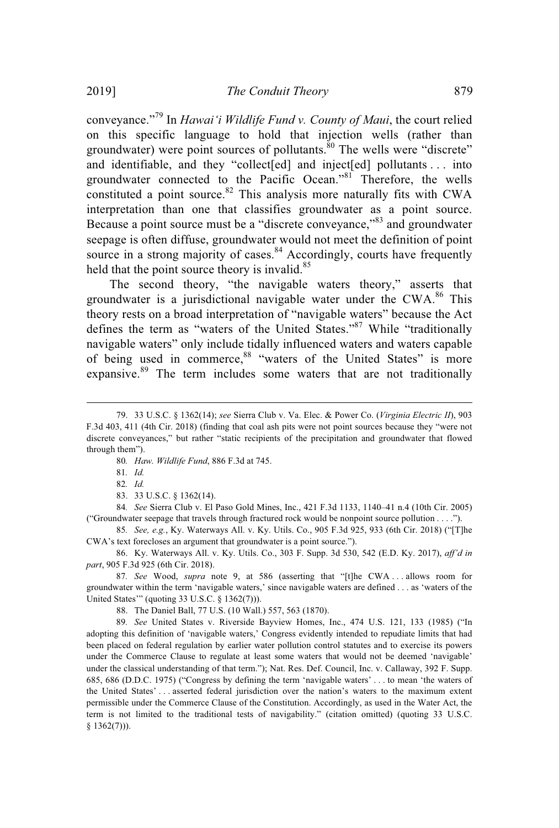conveyance."<sup>79</sup> In *Hawai'i Wildlife Fund v. County of Maui*, the court relied on this specific language to hold that injection wells (rather than groundwater) were point sources of pollutants.<sup>80</sup> The wells were "discrete" and identifiable, and they "collect[ed] and inject[ed] pollutants . . . into groundwater connected to the Pacific Ocean."<sup>81</sup> Therefore, the wells constituted a point source.<sup>82</sup> This analysis more naturally fits with CWA interpretation than one that classifies groundwater as a point source. Because a point source must be a "discrete conveyance,"<sup>83</sup> and groundwater seepage is often diffuse, groundwater would not meet the definition of point source in a strong majority of cases.<sup>84</sup> Accordingly, courts have frequently held that the point source theory is invalid.<sup>85</sup>

The second theory, "the navigable waters theory," asserts that groundwater is a jurisdictional navigable water under the CWA.<sup>86</sup> This theory rests on a broad interpretation of "navigable waters" because the Act defines the term as "waters of the United States."<sup>87</sup> While "traditionally navigable waters" only include tidally influenced waters and waters capable of being used in commerce,<sup>88</sup> "waters of the United States" is more expansive.<sup>89</sup> The term includes some waters that are not traditionally

- 80*. Haw. Wildlife Fund*, 886 F.3d at 745.
- 81*. Id.*
- 82*. Id.*
- 83. 33 U.S.C. § 1362(14).

84*. See* Sierra Club v. El Paso Gold Mines, Inc., 421 F.3d 1133, 1140–41 n.4 (10th Cir. 2005) ("Groundwater seepage that travels through fractured rock would be nonpoint source pollution . . . .").

85*. See, e.g.*, Ky. Waterways All. v. Ky. Utils. Co., 905 F.3d 925, 933 (6th Cir. 2018) ("[T]he CWA's text forecloses an argument that groundwater is a point source.").

86. Ky. Waterways All. v. Ky. Utils. Co., 303 F. Supp. 3d 530, 542 (E.D. Ky. 2017), *aff'd in part*, 905 F.3d 925 (6th Cir. 2018).

87*. See* Wood, *supra* note 9, at 586 (asserting that "[t]he CWA . . . allows room for groundwater within the term 'navigable waters,' since navigable waters are defined . . . as 'waters of the United States'" (quoting 33 U.S.C. § 1362(7))).

88. The Daniel Ball, 77 U.S. (10 Wall.) 557, 563 (1870).

89*. See* United States v. Riverside Bayview Homes, Inc., 474 U.S. 121, 133 (1985) ("In adopting this definition of 'navigable waters,' Congress evidently intended to repudiate limits that had been placed on federal regulation by earlier water pollution control statutes and to exercise its powers under the Commerce Clause to regulate at least some waters that would not be deemed 'navigable' under the classical understanding of that term."); Nat. Res. Def. Council, Inc. v. Callaway, 392 F. Supp. 685, 686 (D.D.C. 1975) ("Congress by defining the term 'navigable waters' . . . to mean 'the waters of the United States' . . . asserted federal jurisdiction over the nation's waters to the maximum extent permissible under the Commerce Clause of the Constitution. Accordingly, as used in the Water Act, the term is not limited to the traditional tests of navigability." (citation omitted) (quoting 33 U.S.C.  $§ 1362(7))$ .

<sup>79.</sup> 33 U.S.C. § 1362(14); *see* Sierra Club v. Va. Elec. & Power Co. (*Virginia Electric II*), 903 F.3d 403, 411 (4th Cir. 2018) (finding that coal ash pits were not point sources because they "were not discrete conveyances," but rather "static recipients of the precipitation and groundwater that flowed through them").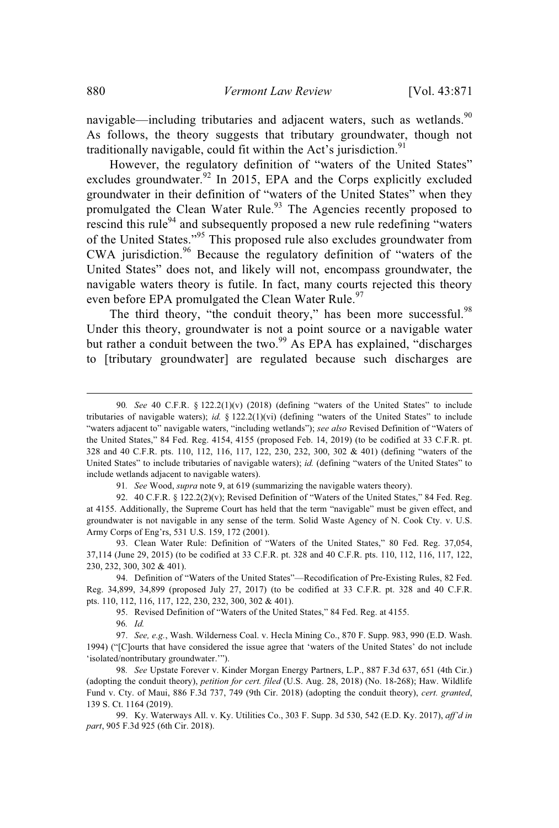navigable—including tributaries and adjacent waters, such as wetlands.  $90$ As follows, the theory suggests that tributary groundwater, though not traditionally navigable, could fit within the Act's jurisdiction.<sup>91</sup>

However, the regulatory definition of "waters of the United States" excludes groundwater. $92$  In 2015, EPA and the Corps explicitly excluded groundwater in their definition of "waters of the United States" when they promulgated the Clean Water Rule.<sup>93</sup> The Agencies recently proposed to rescind this rule<sup>94</sup> and subsequently proposed a new rule redefining "waters" of the United States."<sup>95</sup> This proposed rule also excludes groundwater from CWA jurisdiction. <sup>96</sup> Because the regulatory definition of "waters of the United States" does not, and likely will not, encompass groundwater, the navigable waters theory is futile. In fact, many courts rejected this theory even before EPA promulgated the Clean Water Rule.<sup>97</sup>

The third theory, "the conduit theory," has been more successful.<sup>98</sup> Under this theory, groundwater is not a point source or a navigable water but rather a conduit between the two.<sup>99</sup> As EPA has explained, "discharges to [tributary groundwater] are regulated because such discharges are

91*. See* Wood, *supra* note 9, at 619 (summarizing the navigable waters theory).

92. 40 C.F.R. § 122.2(2)(v); Revised Definition of "Waters of the United States," 84 Fed. Reg. at 4155. Additionally, the Supreme Court has held that the term "navigable" must be given effect, and groundwater is not navigable in any sense of the term. Solid Waste Agency of N. Cook Cty. v. U.S. Army Corps of Eng'rs, 531 U.S. 159, 172 (2001).

93. Clean Water Rule: Definition of "Waters of the United States," 80 Fed. Reg. 37,054, 37,114 (June 29, 2015) (to be codified at 33 C.F.R. pt. 328 and 40 C.F.R. pts. 110, 112, 116, 117, 122, 230, 232, 300, 302 & 401).

94. Definition of "Waters of the United States"—Recodification of Pre-Existing Rules, 82 Fed. Reg. 34,899, 34,899 (proposed July 27, 2017) (to be codified at 33 C.F.R. pt. 328 and 40 C.F.R. pts. 110, 112, 116, 117, 122, 230, 232, 300, 302 & 401).

95. Revised Definition of "Waters of the United States," 84 Fed. Reg. at 4155.

96*. Id.*

97. *See, e.g.*, Wash. Wilderness Coal. v. Hecla Mining Co., 870 F. Supp. 983, 990 (E.D. Wash. 1994) ("[C]ourts that have considered the issue agree that 'waters of the United States' do not include 'isolated/nontributary groundwater.'").

98*. See* Upstate Forever v. Kinder Morgan Energy Partners, L.P., 887 F.3d 637, 651 (4th Cir.) (adopting the conduit theory), *petition for cert. filed* (U.S. Aug. 28, 2018) (No. 18-268); Haw. Wildlife Fund v. Cty. of Maui, 886 F.3d 737, 749 (9th Cir. 2018) (adopting the conduit theory), *cert. granted*, 139 S. Ct. 1164 (2019).

99. Ky. Waterways All. v. Ky. Utilities Co., 303 F. Supp. 3d 530, 542 (E.D. Ky. 2017), *aff'd in part*, 905 F.3d 925 (6th Cir. 2018).

<sup>90</sup>*. See* 40 C.F.R. § 122.2(1)(v) (2018) (defining "waters of the United States" to include tributaries of navigable waters); *id.* § 122.2(1)(vi) (defining "waters of the United States" to include "waters adjacent to" navigable waters, "including wetlands"); *see also* Revised Definition of "Waters of the United States," 84 Fed. Reg. 4154, 4155 (proposed Feb. 14, 2019) (to be codified at 33 C.F.R. pt. 328 and 40 C.F.R. pts. 110, 112, 116, 117, 122, 230, 232, 300, 302 & 401) (defining "waters of the United States" to include tributaries of navigable waters); *id.* (defining "waters of the United States" to include wetlands adjacent to navigable waters).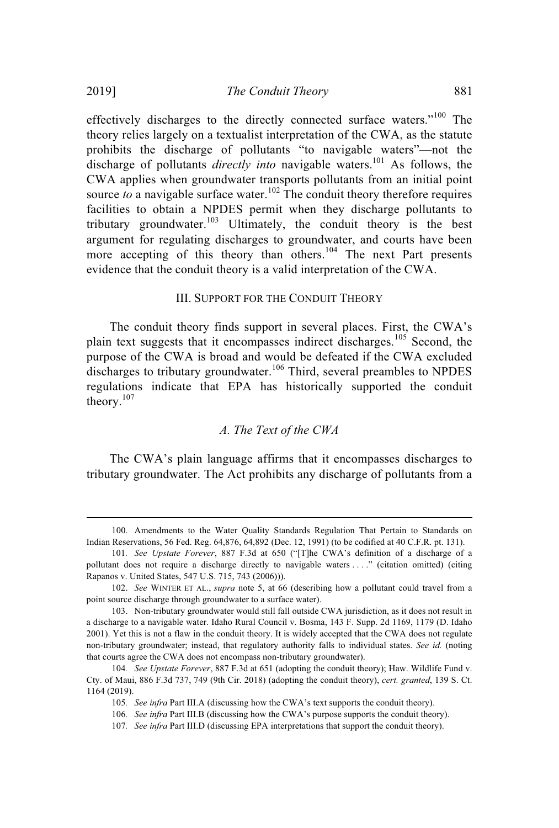effectively discharges to the directly connected surface waters."<sup>100</sup> The theory relies largely on a textualist interpretation of the CWA, as the statute prohibits the discharge of pollutants "to navigable waters"—not the discharge of pollutants *directly into* navigable waters.<sup>101</sup> As follows, the CWA applies when groundwater transports pollutants from an initial point source *to* a navigable surface water.<sup>102</sup> The conduit theory therefore requires facilities to obtain a NPDES permit when they discharge pollutants to tributary groundwater.<sup>103</sup> Ultimately, the conduit theory is the best argument for regulating discharges to groundwater, and courts have been more accepting of this theory than others.<sup>104</sup> The next Part presents evidence that the conduit theory is a valid interpretation of the CWA.

#### III. SUPPORT FOR THE CONDUIT THEORY

The conduit theory finds support in several places. First, the CWA's plain text suggests that it encompasses indirect discharges.<sup>105</sup> Second, the purpose of the CWA is broad and would be defeated if the CWA excluded discharges to tributary groundwater.<sup>106</sup> Third, several preambles to NPDES regulations indicate that EPA has historically supported the conduit theory. 107

# *A. The Text of the CWA*

The CWA's plain language affirms that it encompasses discharges to tributary groundwater. The Act prohibits any discharge of pollutants from a

<sup>100.</sup> Amendments to the Water Quality Standards Regulation That Pertain to Standards on Indian Reservations, 56 Fed. Reg. 64,876, 64,892 (Dec. 12, 1991) (to be codified at 40 C.F.R. pt. 131).

<sup>101</sup>*. See Upstate Forever*, 887 F.3d at 650 ("[T]he CWA's definition of a discharge of a pollutant does not require a discharge directly to navigable waters . . . ." (citation omitted) (citing Rapanos v. United States, 547 U.S. 715, 743 (2006))).

<sup>102.</sup> *See* WINTER ET AL., *supra* note 5, at 66 (describing how a pollutant could travel from a point source discharge through groundwater to a surface water).

<sup>103.</sup> Non-tributary groundwater would still fall outside CWA jurisdiction, as it does not result in a discharge to a navigable water. Idaho Rural Council v. Bosma, 143 F. Supp. 2d 1169, 1179 (D. Idaho 2001). Yet this is not a flaw in the conduit theory. It is widely accepted that the CWA does not regulate non-tributary groundwater; instead, that regulatory authority falls to individual states. *See id.* (noting that courts agree the CWA does not encompass non-tributary groundwater).

<sup>104</sup>*. See Upstate Forever*, 887 F.3d at 651 (adopting the conduit theory); Haw. Wildlife Fund v. Cty. of Maui, 886 F.3d 737, 749 (9th Cir. 2018) (adopting the conduit theory), *cert. granted*, 139 S. Ct. 1164 (2019).

<sup>105</sup>*. See infra* Part III.A (discussing how the CWA's text supports the conduit theory).

<sup>106</sup>*. See infra* Part III.B (discussing how the CWA's purpose supports the conduit theory).

<sup>107</sup>*. See infra* Part III.D (discussing EPA interpretations that support the conduit theory).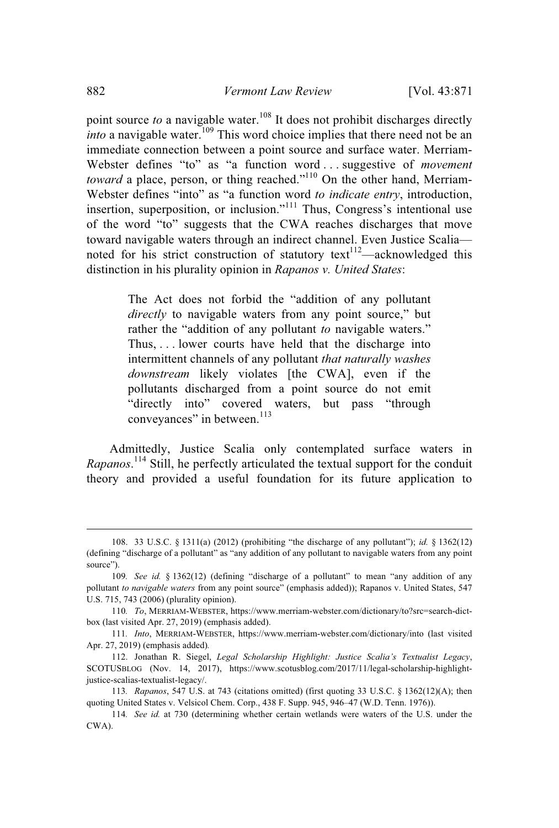point source *to* a navigable water.<sup>108</sup> It does not prohibit discharges directly *into* a navigable water.<sup>109</sup> This word choice implies that there need not be an immediate connection between a point source and surface water. Merriam-Webster defines "to" as "a function word . . . suggestive of *movement toward* a place, person, or thing reached."<sup>110</sup> On the other hand, Merriam-Webster defines "into" as "a function word *to indicate entry*, introduction, insertion, superposition, or inclusion."<sup>111</sup> Thus, Congress's intentional use of the word "to" suggests that the CWA reaches discharges that move toward navigable waters through an indirect channel. Even Justice Scalia noted for his strict construction of statutory  $text{text}^{112}$ —acknowledged this distinction in his plurality opinion in *Rapanos v. United States*:

> The Act does not forbid the "addition of any pollutant *directly* to navigable waters from any point source," but rather the "addition of any pollutant *to* navigable waters." Thus, . . . lower courts have held that the discharge into intermittent channels of any pollutant *that naturally washes downstream* likely violates [the CWA], even if the pollutants discharged from a point source do not emit "directly into" covered waters, but pass "through conveyances" in between.<sup>113</sup>

Admittedly, Justice Scalia only contemplated surface waters in *Rapanos*. <sup>114</sup> Still, he perfectly articulated the textual support for the conduit theory and provided a useful foundation for its future application to

<sup>108.</sup> 33 U.S.C. § 1311(a) (2012) (prohibiting "the discharge of any pollutant"); *id.* § 1362(12) (defining "discharge of a pollutant" as "any addition of any pollutant to navigable waters from any point source").

<sup>109</sup>*. See id.* § 1362(12) (defining "discharge of a pollutant" to mean "any addition of any pollutant *to navigable waters* from any point source" (emphasis added)); Rapanos v. United States, 547 U.S. 715, 743 (2006) (plurality opinion).

<sup>110</sup>*. To*, MERRIAM-WEBSTER, https://www.merriam-webster.com/dictionary/to?src=search-dictbox (last visited Apr. 27, 2019) (emphasis added).

<sup>111</sup>*. Into*, MERRIAM-WEBSTER, https://www.merriam-webster.com/dictionary/into (last visited Apr. 27, 2019) (emphasis added)*.*

<sup>112.</sup> Jonathan R. Siegel, *Legal Scholarship Highlight: Justice Scalia's Textualist Legacy*, SCOTUSBLOG (Nov. 14, 2017), https://www.scotusblog.com/2017/11/legal-scholarship-highlightjustice-scalias-textualist-legacy/.

<sup>113</sup>*. Rapanos*, 547 U.S. at 743 (citations omitted) (first quoting 33 U.S.C. § 1362(12)(A); then quoting United States v. Velsicol Chem. Corp., 438 F. Supp. 945, 946–47 (W.D. Tenn. 1976)).

<sup>114</sup>*. See id.* at 730 (determining whether certain wetlands were waters of the U.S. under the CWA).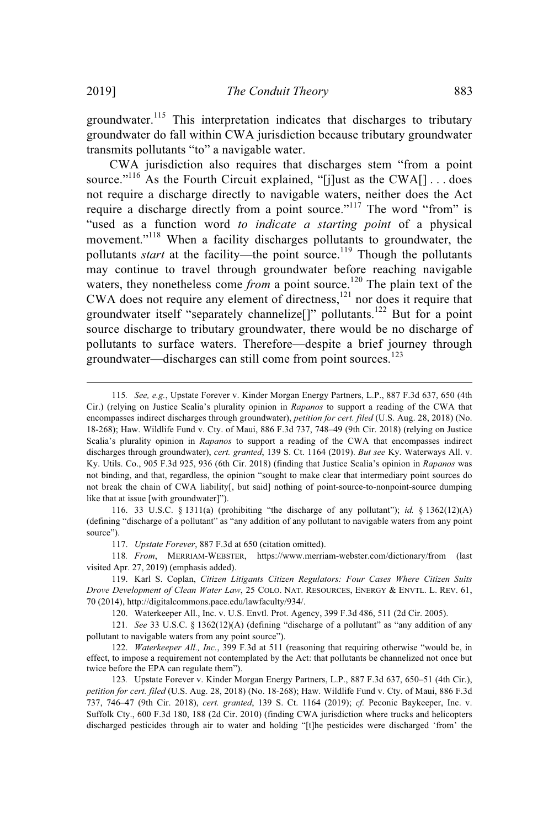groundwater.<sup>115</sup> This interpretation indicates that discharges to tributary groundwater do fall within CWA jurisdiction because tributary groundwater transmits pollutants "to" a navigable water.

CWA jurisdiction also requires that discharges stem "from a point source."<sup>116</sup> As the Fourth Circuit explained, "[j]ust as the CWA[] . . . does not require a discharge directly to navigable waters, neither does the Act require a discharge directly from a point source."<sup> $117$ </sup> The word "from" is "used as a function word *to indicate a starting point* of a physical movement."<sup>118</sup> When a facility discharges pollutants to groundwater, the pollutants *start* at the facility—the point source. <sup>119</sup> Though the pollutants may continue to travel through groundwater before reaching navigable waters, they nonetheless come *from* a point source.<sup>120</sup> The plain text of the CWA does not require any element of directness, $121$  nor does it require that groundwater itself "separately channelize<sup>[]"</sup> pollutants.<sup>122</sup> But for a point source discharge to tributary groundwater, there would be no discharge of pollutants to surface waters. Therefore—despite a brief journey through groundwater—discharges can still come from point sources.<sup>123</sup>

116. 33 U.S.C. § 1311(a) (prohibiting "the discharge of any pollutant"); *id.* § 1362(12)(A) (defining "discharge of a pollutant" as "any addition of any pollutant to navigable waters from any point source").

117. *Upstate Forever*, 887 F.3d at 650 (citation omitted).

118*. From*, MERRIAM-WEBSTER, https://www.merriam-webster.com/dictionary/from (last visited Apr. 27, 2019) (emphasis added).

119. Karl S. Coplan, *Citizen Litigants Citizen Regulators: Four Cases Where Citizen Suits Drove Development of Clean Water Law*, 25 COLO. NAT. RESOURCES, ENERGY & ENVTL. L. REV. 61, 70 (2014), http://digitalcommons.pace.edu/lawfaculty/934/.

120. Waterkeeper All., Inc. v. U.S. Envtl. Prot. Agency, 399 F.3d 486, 511 (2d Cir. 2005).

121*. See* 33 U.S.C. § 1362(12)(A) (defining "discharge of a pollutant" as "any addition of any pollutant to navigable waters from any point source").

122. *Waterkeeper All., Inc.*, 399 F.3d at 511 (reasoning that requiring otherwise "would be, in effect, to impose a requirement not contemplated by the Act: that pollutants be channelized not once but twice before the EPA can regulate them").

123*.* Upstate Forever v. Kinder Morgan Energy Partners, L.P., 887 F.3d 637, 650–51 (4th Cir.), *petition for cert. filed* (U.S. Aug. 28, 2018) (No. 18-268); Haw. Wildlife Fund v. Cty. of Maui, 886 F.3d 737, 746–47 (9th Cir. 2018), *cert. granted*, 139 S. Ct. 1164 (2019); *cf.* Peconic Baykeeper, Inc. v. Suffolk Cty., 600 F.3d 180, 188 (2d Cir. 2010) (finding CWA jurisdiction where trucks and helicopters discharged pesticides through air to water and holding "[t]he pesticides were discharged 'from' the

<sup>115</sup>*. See, e.g.*, Upstate Forever v. Kinder Morgan Energy Partners, L.P., 887 F.3d 637, 650 (4th Cir.) (relying on Justice Scalia's plurality opinion in *Rapanos* to support a reading of the CWA that encompasses indirect discharges through groundwater), *petition for cert. filed* (U.S. Aug. 28, 2018) (No. 18-268); Haw. Wildlife Fund v. Cty. of Maui, 886 F.3d 737, 748–49 (9th Cir. 2018) (relying on Justice Scalia's plurality opinion in *Rapanos* to support a reading of the CWA that encompasses indirect discharges through groundwater), *cert. granted*, 139 S. Ct. 1164 (2019). *But see* Ky. Waterways All. v. Ky. Utils. Co., 905 F.3d 925, 936 (6th Cir. 2018) (finding that Justice Scalia's opinion in *Rapanos* was not binding, and that, regardless, the opinion "sought to make clear that intermediary point sources do not break the chain of CWA liability[, but said] nothing of point-source-to-nonpoint-source dumping like that at issue [with groundwater]").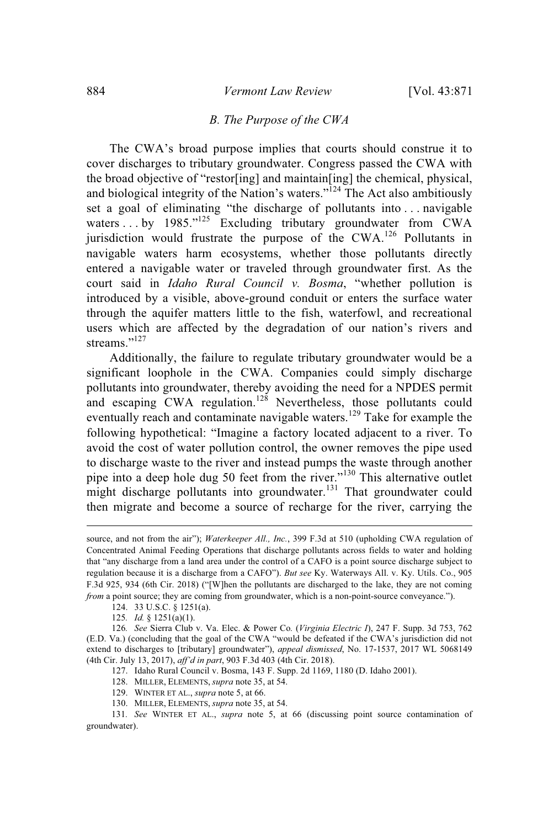## *B. The Purpose of the CWA*

The CWA's broad purpose implies that courts should construe it to cover discharges to tributary groundwater. Congress passed the CWA with the broad objective of "restor[ing] and maintain[ing] the chemical, physical, and biological integrity of the Nation's waters."<sup>124</sup> The Act also ambitiously set a goal of eliminating "the discharge of pollutants into . . . navigable waters . . . by 1985."<sup>125</sup> Excluding tributary groundwater from CWA jurisdiction would frustrate the purpose of the CWA.<sup>126</sup> Pollutants in navigable waters harm ecosystems, whether those pollutants directly entered a navigable water or traveled through groundwater first. As the court said in *Idaho Rural Council v. Bosma*, "whether pollution is introduced by a visible, above-ground conduit or enters the surface water through the aquifer matters little to the fish, waterfowl, and recreational users which are affected by the degradation of our nation's rivers and streams."<sup>127</sup>

Additionally, the failure to regulate tributary groundwater would be a significant loophole in the CWA. Companies could simply discharge pollutants into groundwater, thereby avoiding the need for a NPDES permit and escaping CWA regulation.<sup>128</sup> Nevertheless, those pollutants could eventually reach and contaminate navigable waters.<sup>129</sup> Take for example the following hypothetical: "Imagine a factory located adjacent to a river. To avoid the cost of water pollution control, the owner removes the pipe used to discharge waste to the river and instead pumps the waste through another pipe into a deep hole dug 50 feet from the river."<sup>130</sup> This alternative outlet might discharge pollutants into groundwater.<sup>131</sup> That groundwater could then migrate and become a source of recharge for the river, carrying the

124. 33 U.S.C. § 1251(a).

125*. Id.* § 1251(a)(1).

127. Idaho Rural Council v. Bosma, 143 F. Supp. 2d 1169, 1180 (D. Idaho 2001).

- 128. MILLER, ELEMENTS, *supra* note 35, at 54.
- 129. WINTER ET AL., *supra* note 5, at 66.
- 130. MILLER, ELEMENTS, *supra* note 35, at 54.

131*. See* WINTER ET AL., *supra* note 5, at 66 (discussing point source contamination of groundwater).

source, and not from the air"); *Waterkeeper All., Inc.*, 399 F.3d at 510 (upholding CWA regulation of Concentrated Animal Feeding Operations that discharge pollutants across fields to water and holding that "any discharge from a land area under the control of a CAFO is a point source discharge subject to regulation because it is a discharge from a CAFO"). *But see* Ky. Waterways All. v. Ky. Utils. Co., 905 F.3d 925, 934 (6th Cir. 2018) ("[W]hen the pollutants are discharged to the lake, they are not coming *from* a point source; they are coming from groundwater, which is a non-point-source conveyance.").

<sup>126</sup>*. See* Sierra Club v. Va. Elec. & Power Co*.* (*Virginia Electric I*), 247 F. Supp. 3d 753, 762 (E.D. Va.) (concluding that the goal of the CWA "would be defeated if the CWA's jurisdiction did not extend to discharges to [tributary] groundwater"), *appeal dismissed*, No. 17-1537, 2017 WL 5068149 (4th Cir. July 13, 2017), *aff'd in part*, 903 F.3d 403 (4th Cir. 2018).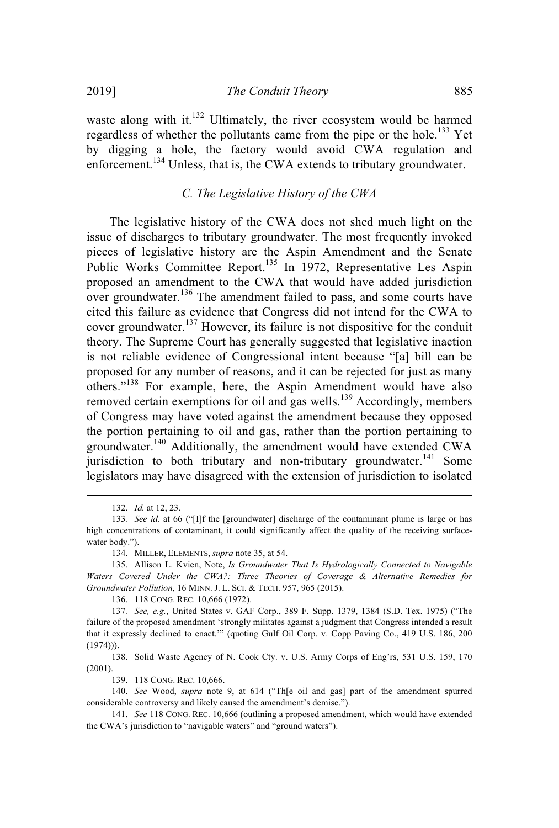waste along with it.<sup>132</sup> Ultimately, the river ecosystem would be harmed regardless of whether the pollutants came from the pipe or the hole.<sup>133</sup> Yet by digging a hole, the factory would avoid CWA regulation and enforcement.<sup>134</sup> Unless, that is, the CWA extends to tributary groundwater.

## *C. The Legislative History of the CWA*

The legislative history of the CWA does not shed much light on the issue of discharges to tributary groundwater. The most frequently invoked pieces of legislative history are the Aspin Amendment and the Senate Public Works Committee Report.<sup>135</sup> In 1972, Representative Les Aspin proposed an amendment to the CWA that would have added jurisdiction over groundwater.<sup>136</sup> The amendment failed to pass, and some courts have cited this failure as evidence that Congress did not intend for the CWA to cover groundwater.<sup>137</sup> However, its failure is not dispositive for the conduit theory. The Supreme Court has generally suggested that legislative inaction is not reliable evidence of Congressional intent because "[a] bill can be proposed for any number of reasons, and it can be rejected for just as many others."<sup>138</sup> For example, here, the Aspin Amendment would have also removed certain exemptions for oil and gas wells.<sup>139</sup> Accordingly, members of Congress may have voted against the amendment because they opposed the portion pertaining to oil and gas, rather than the portion pertaining to groundwater.<sup>140</sup> Additionally, the amendment would have extended CWA jurisdiction to both tributary and non-tributary groundwater.<sup>141</sup> Some legislators may have disagreed with the extension of jurisdiction to isolated

138. Solid Waste Agency of N. Cook Cty. v. U.S. Army Corps of Eng'rs, 531 U.S. 159, 170 (2001).

139. 118 CONG. REC. 10,666.

140. *See* Wood, *supra* note 9, at 614 ("Th[e oil and gas] part of the amendment spurred considerable controversy and likely caused the amendment's demise.").

141. *See* 118 CONG. REC. 10,666 (outlining a proposed amendment, which would have extended the CWA's jurisdiction to "navigable waters" and "ground waters").

<sup>132.</sup> *Id.* at 12, 23.

<sup>133</sup>*. See id.* at 66 ("[I]f the [groundwater] discharge of the contaminant plume is large or has high concentrations of contaminant, it could significantly affect the quality of the receiving surfacewater body.").

<sup>134.</sup> MILLER, ELEMENTS, *supra* note 35, at 54.

<sup>135.</sup> Allison L. Kvien, Note, *Is Groundwater That Is Hydrologically Connected to Navigable Waters Covered Under the CWA?: Three Theories of Coverage & Alternative Remedies for Groundwater Pollution*, 16 MINN. J. L. SCI. & TECH. 957, 965 (2015).

<sup>136.</sup> 118 CONG. REC. 10,666 (1972).

<sup>137</sup>*. See, e.g.*, United States v. GAF Corp., 389 F. Supp. 1379, 1384 (S.D. Tex. 1975) ("The failure of the proposed amendment 'strongly militates against a judgment that Congress intended a result that it expressly declined to enact.'" (quoting Gulf Oil Corp. v. Copp Paving Co., 419 U.S. 186, 200  $(1974))$ .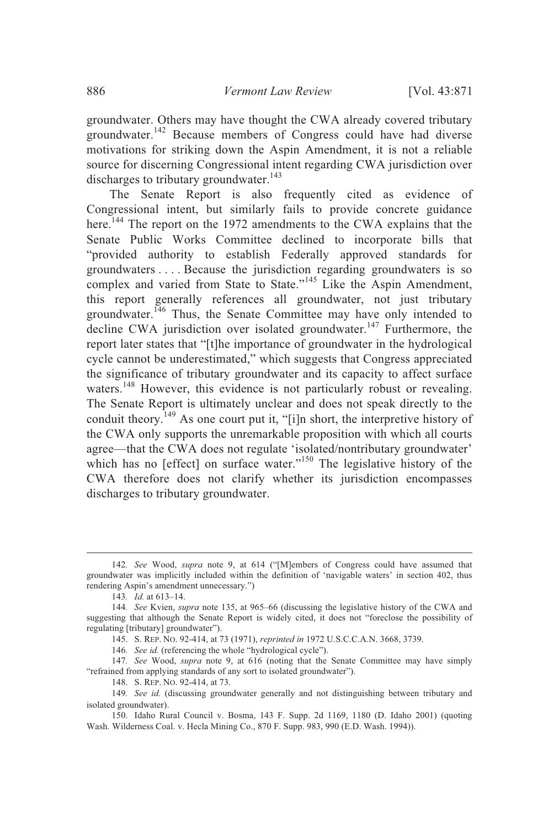groundwater. Others may have thought the CWA already covered tributary groundwater.<sup>142</sup> Because members of Congress could have had diverse motivations for striking down the Aspin Amendment, it is not a reliable source for discerning Congressional intent regarding CWA jurisdiction over discharges to tributary groundwater.<sup>143</sup>

The Senate Report is also frequently cited as evidence of Congressional intent, but similarly fails to provide concrete guidance here.<sup>144</sup> The report on the 1972 amendments to the CWA explains that the Senate Public Works Committee declined to incorporate bills that "provided authority to establish Federally approved standards for groundwaters . . . . Because the jurisdiction regarding groundwaters is so complex and varied from State to State."<sup>145</sup> Like the Aspin Amendment, this report generally references all groundwater, not just tributary groundwater.<sup>146</sup> Thus, the Senate Committee may have only intended to decline CWA jurisdiction over isolated groundwater.<sup>147</sup> Furthermore, the report later states that "[t]he importance of groundwater in the hydrological cycle cannot be underestimated," which suggests that Congress appreciated the significance of tributary groundwater and its capacity to affect surface waters.<sup>148</sup> However, this evidence is not particularly robust or revealing. The Senate Report is ultimately unclear and does not speak directly to the conduit theory.<sup>149</sup> As one court put it, "[i]n short, the interpretive history of the CWA only supports the unremarkable proposition with which all courts agree—that the CWA does not regulate 'isolated/nontributary groundwater' which has no [effect] on surface water."<sup>150</sup> The legislative history of the CWA therefore does not clarify whether its jurisdiction encompasses discharges to tributary groundwater.

148. S. REP. NO. 92-414, at 73*.*

<sup>142</sup>*. See* Wood, *supra* note 9, at 614 ("[M]embers of Congress could have assumed that groundwater was implicitly included within the definition of 'navigable waters' in section 402, thus rendering Aspin's amendment unnecessary.")

<sup>143</sup>*. Id.* at 613–14.

<sup>144</sup>*. See* Kvien, *supra* note 135, at 965–66 (discussing the legislative history of the CWA and suggesting that although the Senate Report is widely cited, it does not "foreclose the possibility of regulating [tributary] groundwater").

<sup>145.</sup> S. REP. NO. 92-414, at 73 (1971), *reprinted in* 1972 U.S.C.C.A.N. 3668, 3739.

<sup>146</sup>*. See id.* (referencing the whole "hydrological cycle").

<sup>147</sup>*. See* Wood, *supra* note 9, at 616 (noting that the Senate Committee may have simply "refrained from applying standards of any sort to isolated groundwater").

<sup>149</sup>*. See id.* (discussing groundwater generally and not distinguishing between tributary and isolated groundwater).

<sup>150.</sup> Idaho Rural Council v. Bosma, 143 F. Supp. 2d 1169, 1180 (D. Idaho 2001) (quoting Wash. Wilderness Coal. v. Hecla Mining Co., 870 F. Supp. 983, 990 (E.D. Wash. 1994)).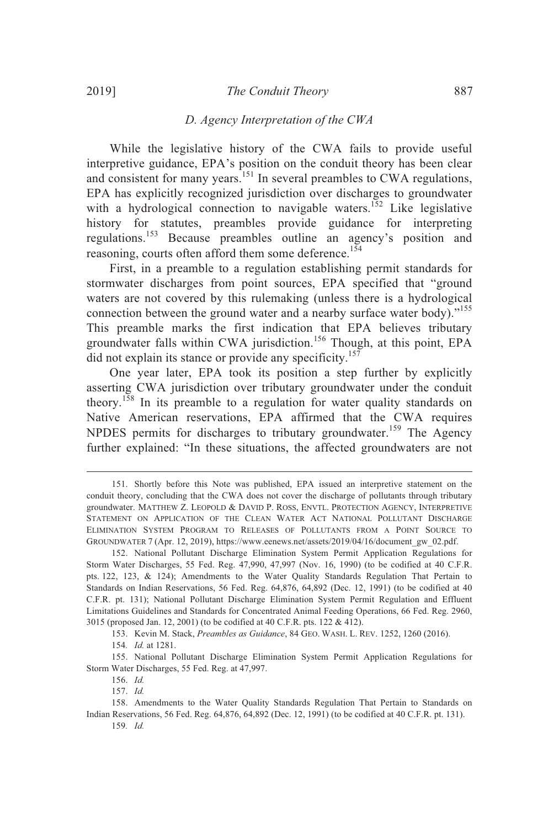#### 2019] *The Conduit Theory* 887

#### *D. Agency Interpretation of the CWA*

While the legislative history of the CWA fails to provide useful interpretive guidance, EPA's position on the conduit theory has been clear and consistent for many years.<sup>151</sup> In several preambles to CWA regulations, EPA has explicitly recognized jurisdiction over discharges to groundwater with a hydrological connection to navigable waters.<sup>152</sup> Like legislative history for statutes, preambles provide guidance for interpreting regulations.<sup>153</sup> Because preambles outline an agency's position and reasoning, courts often afford them some deference.<sup>154</sup>

First, in a preamble to a regulation establishing permit standards for stormwater discharges from point sources, EPA specified that "ground waters are not covered by this rulemaking (unless there is a hydrological connection between the ground water and a nearby surface water body). $155$ This preamble marks the first indication that EPA believes tributary groundwater falls within CWA jurisdiction. <sup>156</sup> Though, at this point, EPA did not explain its stance or provide any specificity.<sup>157</sup>

One year later, EPA took its position a step further by explicitly asserting CWA jurisdiction over tributary groundwater under the conduit theory.<sup>158</sup> In its preamble to a regulation for water quality standards on Native American reservations, EPA affirmed that the CWA requires NPDES permits for discharges to tributary groundwater.<sup>159</sup> The Agency further explained: "In these situations, the affected groundwaters are not

153. Kevin M. Stack, *Preambles as Guidance*, 84 GEO. WASH. L. REV. 1252, 1260 (2016).

155. National Pollutant Discharge Elimination System Permit Application Regulations for Storm Water Discharges, 55 Fed. Reg. at 47,997.

<sup>151.</sup> Shortly before this Note was published, EPA issued an interpretive statement on the conduit theory, concluding that the CWA does not cover the discharge of pollutants through tributary groundwater. MATTHEW Z. LEOPOLD & DAVID P. ROSS, ENVTL. PROTECTION AGENCY, INTERPRETIVE STATEMENT ON APPLICATION OF THE CLEAN WATER ACT NATIONAL POLLUTANT DISCHARGE ELIMINATION SYSTEM PROGRAM TO RELEASES OF POLLUTANTS FROM A POINT SOURCE TO GROUNDWATER 7 (Apr. 12, 2019), https://www.eenews.net/assets/2019/04/16/document\_gw\_02.pdf.

<sup>152.</sup> National Pollutant Discharge Elimination System Permit Application Regulations for Storm Water Discharges, 55 Fed. Reg. 47,990, 47,997 (Nov. 16, 1990) (to be codified at 40 C.F.R. pts. 122, 123, & 124); Amendments to the Water Quality Standards Regulation That Pertain to Standards on Indian Reservations, 56 Fed. Reg. 64,876, 64,892 (Dec. 12, 1991) (to be codified at 40 C.F.R. pt. 131); National Pollutant Discharge Elimination System Permit Regulation and Effluent Limitations Guidelines and Standards for Concentrated Animal Feeding Operations, 66 Fed. Reg. 2960, 3015 (proposed Jan. 12, 2001) (to be codified at 40 C.F.R. pts. 122 & 412).

<sup>154</sup>*. Id.* at 1281.

<sup>156.</sup> *Id.*

<sup>157.</sup> *Id.*

<sup>158.</sup> Amendments to the Water Quality Standards Regulation That Pertain to Standards on Indian Reservations, 56 Fed. Reg. 64,876, 64,892 (Dec. 12, 1991) (to be codified at 40 C.F.R. pt. 131).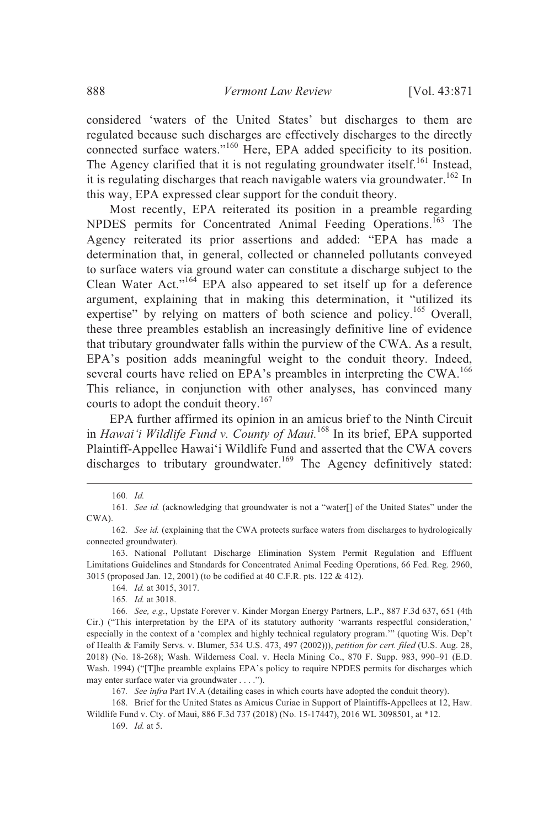considered 'waters of the United States' but discharges to them are regulated because such discharges are effectively discharges to the directly connected surface waters."<sup>160</sup> Here, EPA added specificity to its position. The Agency clarified that it is not regulating groundwater itself.<sup>161</sup> Instead, it is regulating discharges that reach navigable waters via groundwater.<sup>162</sup> In this way, EPA expressed clear support for the conduit theory.

Most recently, EPA reiterated its position in a preamble regarding NPDES permits for Concentrated Animal Feeding Operations. <sup>163</sup> The Agency reiterated its prior assertions and added: "EPA has made a determination that, in general, collected or channeled pollutants conveyed to surface waters via ground water can constitute a discharge subject to the Clean Water Act."<sup>164</sup> EPA also appeared to set itself up for a deference argument, explaining that in making this determination, it "utilized its expertise" by relying on matters of both science and policy.<sup>165</sup> Overall, these three preambles establish an increasingly definitive line of evidence that tributary groundwater falls within the purview of the CWA. As a result, EPA's position adds meaningful weight to the conduit theory. Indeed, several courts have relied on EPA's preambles in interpreting the CWA.<sup>166</sup> This reliance, in conjunction with other analyses, has convinced many courts to adopt the conduit theory. 167

EPA further affirmed its opinion in an amicus brief to the Ninth Circuit in *Hawai'i Wildlife Fund v. County of Maui.*<sup>168</sup> In its brief, EPA supported Plaintiff-Appellee Hawai'i Wildlife Fund and asserted that the CWA covers discharges to tributary groundwater.<sup>169</sup> The Agency definitively stated:

161*. See id.* (acknowledging that groundwater is not a "water[] of the United States" under the CWA).

166*. See, e.g.*, Upstate Forever v. Kinder Morgan Energy Partners, L.P., 887 F.3d 637, 651 (4th Cir.) ("This interpretation by the EPA of its statutory authority 'warrants respectful consideration,' especially in the context of a 'complex and highly technical regulatory program.'" (quoting Wis. Dep't of Health & Family Servs. v. Blumer, 534 U.S. 473, 497 (2002))), *petition for cert. filed* (U.S. Aug. 28, 2018) (No. 18-268); Wash. Wilderness Coal. v. Hecla Mining Co., 870 F. Supp. 983, 990–91 (E.D. Wash. 1994) ("[T]he preamble explains EPA's policy to require NPDES permits for discharges which may enter surface water via groundwater . . . .").

167*. See infra* Part IV.A (detailing cases in which courts have adopted the conduit theory).

168. Brief for the United States as Amicus Curiae in Support of Plaintiffs-Appellees at 12, Haw. Wildlife Fund v. Cty. of Maui, 886 F.3d 737 (2018) (No. 15-17447), 2016 WL 3098501, at \*12.

169. *Id.* at 5.

<sup>160</sup>*. Id.*

<sup>162</sup>*. See id.* (explaining that the CWA protects surface waters from discharges to hydrologically connected groundwater).

<sup>163.</sup> National Pollutant Discharge Elimination System Permit Regulation and Effluent Limitations Guidelines and Standards for Concentrated Animal Feeding Operations, 66 Fed. Reg. 2960, 3015 (proposed Jan. 12, 2001) (to be codified at 40 C.F.R. pts. 122 & 412).

<sup>164</sup>*. Id.* at 3015, 3017.

<sup>165</sup>*. Id.* at 3018.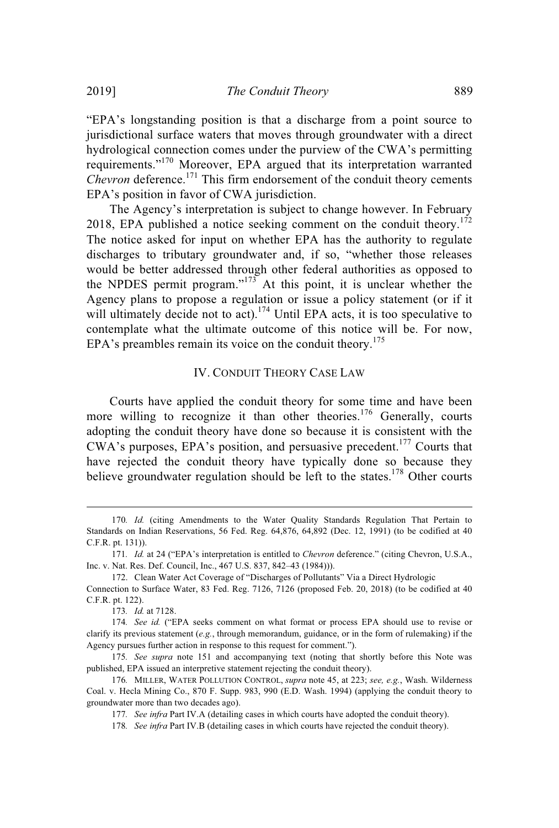"EPA's longstanding position is that a discharge from a point source to jurisdictional surface waters that moves through groundwater with a direct hydrological connection comes under the purview of the CWA's permitting requirements."<sup>170</sup> Moreover, EPA argued that its interpretation warranted Chevron deference.<sup>171</sup> This firm endorsement of the conduit theory cements EPA's position in favor of CWA jurisdiction.

The Agency's interpretation is subject to change however. In February 2018, EPA published a notice seeking comment on the conduit theory.<sup>172</sup> The notice asked for input on whether EPA has the authority to regulate discharges to tributary groundwater and, if so, "whether those releases would be better addressed through other federal authorities as opposed to the NPDES permit program." $173$  At this point, it is unclear whether the Agency plans to propose a regulation or issue a policy statement (or if it will ultimately decide not to act).<sup>174</sup> Until EPA acts, it is too speculative to contemplate what the ultimate outcome of this notice will be. For now, EPA's preambles remain its voice on the conduit theory.<sup>175</sup>

# IV. CONDUIT THEORY CASE LAW

Courts have applied the conduit theory for some time and have been more willing to recognize it than other theories.<sup>176</sup> Generally, courts adopting the conduit theory have done so because it is consistent with the CWA's purposes, EPA's position, and persuasive precedent.<sup>177</sup> Courts that have rejected the conduit theory have typically done so because they believe groundwater regulation should be left to the states.<sup>178</sup> Other courts

<sup>170</sup>*. Id.* (citing Amendments to the Water Quality Standards Regulation That Pertain to Standards on Indian Reservations, 56 Fed. Reg. 64,876, 64,892 (Dec. 12, 1991) (to be codified at 40 C.F.R. pt. 131)).

<sup>171</sup>*. Id.* at 24 ("EPA's interpretation is entitled to *Chevron* deference." (citing Chevron, U.S.A., Inc. v. Nat. Res. Def. Council, Inc., 467 U.S. 837, 842–43 (1984))).

<sup>172.</sup> Clean Water Act Coverage of "Discharges of Pollutants" Via a Direct Hydrologic

Connection to Surface Water, 83 Fed. Reg. 7126, 7126 (proposed Feb. 20, 2018) (to be codified at 40 C.F.R. pt. 122).

<sup>173</sup>*. Id.* at 7128.

<sup>174</sup>*. See id.* ("EPA seeks comment on what format or process EPA should use to revise or clarify its previous statement (*e.g.*, through memorandum, guidance, or in the form of rulemaking) if the Agency pursues further action in response to this request for comment.").

<sup>175</sup>*. See supra* note 151 and accompanying text (noting that shortly before this Note was published, EPA issued an interpretive statement rejecting the conduit theory).

<sup>176</sup>*.* MILLER, WATER POLLUTION CONTROL, *supra* note 45, at 223; *see, e.g.*, Wash. Wilderness Coal. v. Hecla Mining Co., 870 F. Supp. 983, 990 (E.D. Wash. 1994) (applying the conduit theory to groundwater more than two decades ago).

<sup>177</sup>*. See infra* Part IV.A (detailing cases in which courts have adopted the conduit theory).

<sup>178</sup>*. See infra* Part IV.B (detailing cases in which courts have rejected the conduit theory).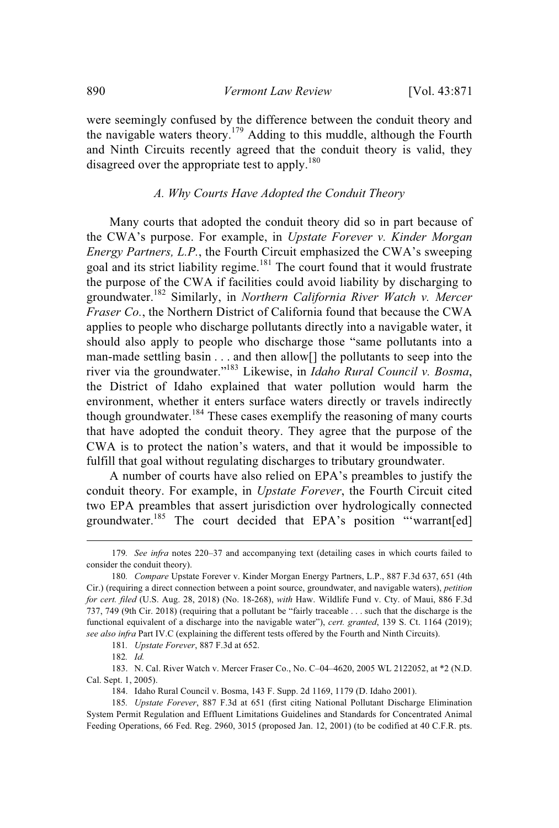were seemingly confused by the difference between the conduit theory and the navigable waters theory.<sup>179</sup> Adding to this muddle, although the Fourth and Ninth Circuits recently agreed that the conduit theory is valid, they disagreed over the appropriate test to apply.<sup>180</sup>

## *A. Why Courts Have Adopted the Conduit Theory*

Many courts that adopted the conduit theory did so in part because of the CWA's purpose. For example, in *Upstate Forever v. Kinder Morgan Energy Partners, L.P.*, the Fourth Circuit emphasized the CWA's sweeping goal and its strict liability regime.<sup>181</sup> The court found that it would frustrate the purpose of the CWA if facilities could avoid liability by discharging to groundwater.<sup>182</sup> Similarly, in *Northern California River Watch v. Mercer Fraser Co.*, the Northern District of California found that because the CWA applies to people who discharge pollutants directly into a navigable water, it should also apply to people who discharge those "same pollutants into a man-made settling basin . . . and then allow[] the pollutants to seep into the river via the groundwater."<sup>183</sup> Likewise, in *Idaho Rural Council v. Bosma*, the District of Idaho explained that water pollution would harm the environment, whether it enters surface waters directly or travels indirectly though groundwater.<sup>184</sup> These cases exemplify the reasoning of many courts that have adopted the conduit theory. They agree that the purpose of the CWA is to protect the nation's waters, and that it would be impossible to fulfill that goal without regulating discharges to tributary groundwater.

A number of courts have also relied on EPA's preambles to justify the conduit theory. For example, in *Upstate Forever*, the Fourth Circuit cited two EPA preambles that assert jurisdiction over hydrologically connected groundwater.<sup>185</sup> The court decided that EPA's position "'warrant[ed]

<sup>179</sup>*. See infra* notes 220–37 and accompanying text (detailing cases in which courts failed to consider the conduit theory).

<sup>180</sup>*. Compare* Upstate Forever v. Kinder Morgan Energy Partners, L.P., 887 F.3d 637, 651 (4th Cir.) (requiring a direct connection between a point source, groundwater, and navigable waters), *petition for cert. filed* (U.S. Aug. 28, 2018) (No. 18-268), *with* Haw. Wildlife Fund v. Cty. of Maui, 886 F.3d 737, 749 (9th Cir. 2018) (requiring that a pollutant be "fairly traceable . . . such that the discharge is the functional equivalent of a discharge into the navigable water"), *cert. granted*, 139 S. Ct. 1164 (2019); *see also infra* Part IV.C (explaining the different tests offered by the Fourth and Ninth Circuits).

<sup>181</sup>*. Upstate Forever*, 887 F.3d at 652.

<sup>182</sup>*. Id.*

<sup>183.</sup> N. Cal. River Watch v. Mercer Fraser Co., No. C–04–4620, 2005 WL 2122052, at \*2 (N.D. Cal. Sept. 1, 2005).

<sup>184.</sup> Idaho Rural Council v. Bosma, 143 F. Supp. 2d 1169, 1179 (D. Idaho 2001).

<sup>185</sup>*. Upstate Forever*, 887 F.3d at 651 (first citing National Pollutant Discharge Elimination System Permit Regulation and Effluent Limitations Guidelines and Standards for Concentrated Animal Feeding Operations, 66 Fed. Reg. 2960, 3015 (proposed Jan. 12, 2001) (to be codified at 40 C.F.R. pts.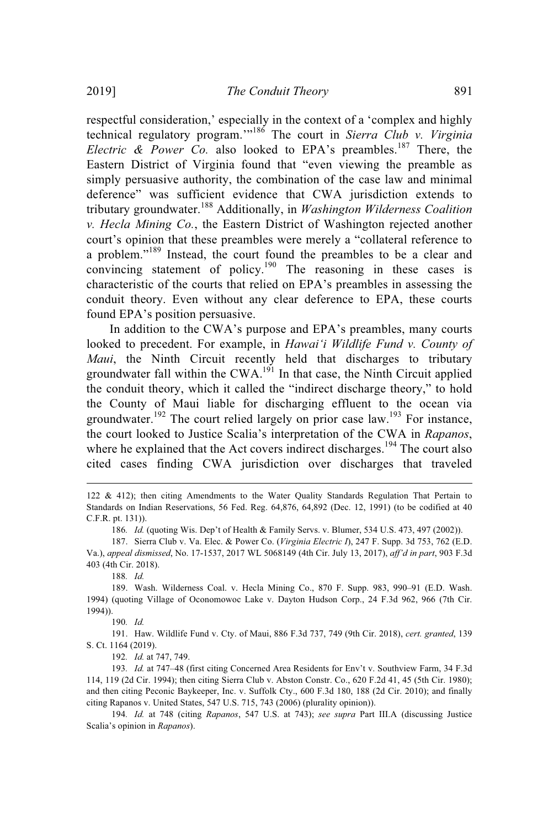respectful consideration,' especially in the context of a 'complex and highly technical regulatory program.'"<sup>186</sup> The court in *Sierra Club v. Virginia Electric* & *Power Co.* also looked to EPA's preambles.<sup>187</sup> There, the Eastern District of Virginia found that "even viewing the preamble as simply persuasive authority, the combination of the case law and minimal deference" was sufficient evidence that CWA jurisdiction extends to tributary groundwater.<sup>188</sup> Additionally, in *Washington Wilderness Coalition v. Hecla Mining Co.*, the Eastern District of Washington rejected another court's opinion that these preambles were merely a "collateral reference to a problem."<sup>189</sup> Instead, the court found the preambles to be a clear and convincing statement of policy.<sup>190</sup> The reasoning in these cases is characteristic of the courts that relied on EPA's preambles in assessing the conduit theory. Even without any clear deference to EPA, these courts found EPA's position persuasive.

In addition to the CWA's purpose and EPA's preambles, many courts looked to precedent. For example, in *Hawai'i Wildlife Fund v. County of Maui*, the Ninth Circuit recently held that discharges to tributary groundwater fall within the CWA.<sup>191</sup> In that case, the Ninth Circuit applied the conduit theory, which it called the "indirect discharge theory," to hold the County of Maui liable for discharging effluent to the ocean via groundwater.<sup>192</sup> The court relied largely on prior case law.<sup>193</sup> For instance, the court looked to Justice Scalia's interpretation of the CWA in *Rapanos*, where he explained that the Act covers indirect discharges.<sup>194</sup> The court also cited cases finding CWA jurisdiction over discharges that traveled

186*. Id.* (quoting Wis. Dep't of Health & Family Servs. v. Blumer, 534 U.S. 473, 497 (2002)).

188*. Id.*

189. Wash. Wilderness Coal. v. Hecla Mining Co., 870 F. Supp. 983, 990–91 (E.D. Wash. 1994) (quoting Village of Oconomowoc Lake v. Dayton Hudson Corp., 24 F.3d 962, 966 (7th Cir. 1994)).

190*. Id.*

191. Haw. Wildlife Fund v. Cty. of Maui, 886 F.3d 737, 749 (9th Cir. 2018), *cert. granted*, 139 S. Ct. 1164 (2019).

192*. Id.* at 747, 749.

193*. Id.* at 747–48 (first citing Concerned Area Residents for Env't v. Southview Farm, 34 F.3d 114, 119 (2d Cir. 1994); then citing Sierra Club v. Abston Constr. Co., 620 F.2d 41, 45 (5th Cir. 1980); and then citing Peconic Baykeeper, Inc. v. Suffolk Cty., 600 F.3d 180, 188 (2d Cir. 2010); and finally citing Rapanos v. United States, 547 U.S. 715, 743 (2006) (plurality opinion)).

194*. Id.* at 748 (citing *Rapanos*, 547 U.S. at 743); *see supra* Part III.A (discussing Justice Scalia's opinion in *Rapanos*).

<sup>122</sup> & 412); then citing Amendments to the Water Quality Standards Regulation That Pertain to Standards on Indian Reservations, 56 Fed. Reg. 64,876, 64,892 (Dec. 12, 1991) (to be codified at 40 C.F.R. pt. 131)).

<sup>187.</sup> Sierra Club v. Va. Elec. & Power Co. (*Virginia Electric I*), 247 F. Supp. 3d 753, 762 (E.D. Va.), *appeal dismissed*, No. 17-1537, 2017 WL 5068149 (4th Cir. July 13, 2017), *aff'd in part*, 903 F.3d 403 (4th Cir. 2018).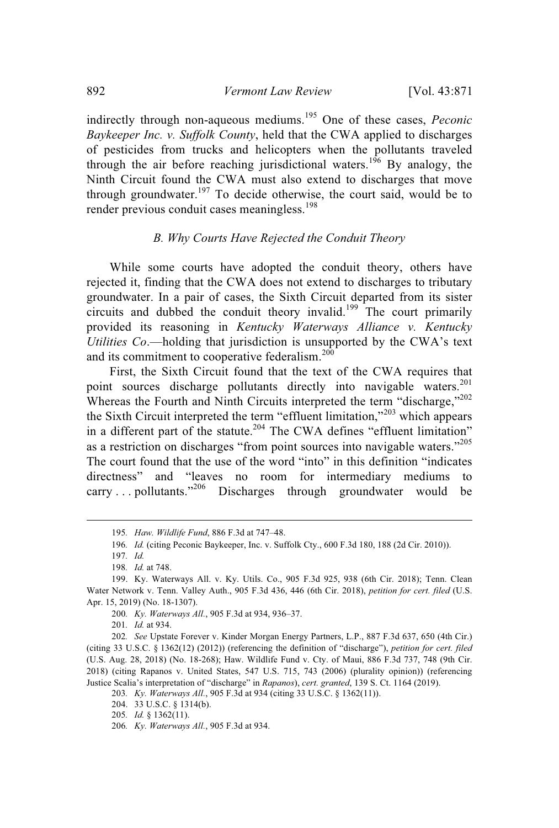indirectly through non-aqueous mediums. <sup>195</sup> One of these cases, *Peconic Baykeeper Inc. v. Suffolk County*, held that the CWA applied to discharges of pesticides from trucks and helicopters when the pollutants traveled through the air before reaching jurisdictional waters.<sup>196</sup> By analogy, the Ninth Circuit found the CWA must also extend to discharges that move through groundwater.<sup>197</sup> To decide otherwise, the court said, would be to render previous conduit cases meaningless.<sup>198</sup>

# *B. Why Courts Have Rejected the Conduit Theory*

While some courts have adopted the conduit theory, others have rejected it, finding that the CWA does not extend to discharges to tributary groundwater. In a pair of cases, the Sixth Circuit departed from its sister circuits and dubbed the conduit theory invalid.<sup>199</sup> The court primarily provided its reasoning in *Kentucky Waterways Alliance v. Kentucky Utilities Co*.—holding that jurisdiction is unsupported by the CWA's text and its commitment to cooperative federalism.<sup>200</sup>

First, the Sixth Circuit found that the text of the CWA requires that point sources discharge pollutants directly into navigable waters.<sup>201</sup> Whereas the Fourth and Ninth Circuits interpreted the term "discharge,"<sup>202</sup> the Sixth Circuit interpreted the term "effluent limitation,"<sup>203</sup> which appears in a different part of the statute.<sup>204</sup> The CWA defines "effluent limitation" as a restriction on discharges "from point sources into navigable waters."<sup>205</sup> The court found that the use of the word "into" in this definition "indicates directness" and "leaves no room for intermediary mediums to carry ... pollutants."<sup>206</sup> Discharges through groundwater would be

<sup>195</sup>*. Haw. Wildlife Fund*, 886 F.3d at 747–48.

<sup>196</sup>*. Id.* (citing Peconic Baykeeper, Inc. v. Suffolk Cty., 600 F.3d 180, 188 (2d Cir. 2010)).

<sup>197</sup>*. Id.*

<sup>198</sup>*. Id.* at 748.

<sup>199.</sup> Ky. Waterways All. v. Ky. Utils. Co., 905 F.3d 925, 938 (6th Cir. 2018); Tenn. Clean Water Network v. Tenn. Valley Auth., 905 F.3d 436, 446 (6th Cir. 2018), *petition for cert. filed* (U.S. Apr. 15, 2019) (No. 18-1307).

<sup>200</sup>*. Ky. Waterways All.*, 905 F.3d at 934, 936–37.

<sup>201</sup>*. Id.* at 934.

<sup>202</sup>*. See* Upstate Forever v. Kinder Morgan Energy Partners, L.P., 887 F.3d 637, 650 (4th Cir.) (citing 33 U.S.C. § 1362(12) (2012)) (referencing the definition of "discharge"), *petition for cert. filed* (U.S. Aug. 28, 2018) (No. 18-268); Haw. Wildlife Fund v. Cty. of Maui, 886 F.3d 737, 748 (9th Cir. 2018) (citing Rapanos v. United States, 547 U.S. 715, 743 (2006) (plurality opinion)) (referencing Justice Scalia's interpretation of "discharge" in *Rapanos*), *cert. granted*, 139 S. Ct. 1164 (2019).

<sup>203</sup>*. Ky. Waterways All.*, 905 F.3d at 934 (citing 33 U.S.C. § 1362(11)).

<sup>204.</sup> 33 U.S.C. § 1314(b).

<sup>205</sup>*. Id.* § 1362(11).

<sup>206</sup>*. Ky. Waterways All.*, 905 F.3d at 934.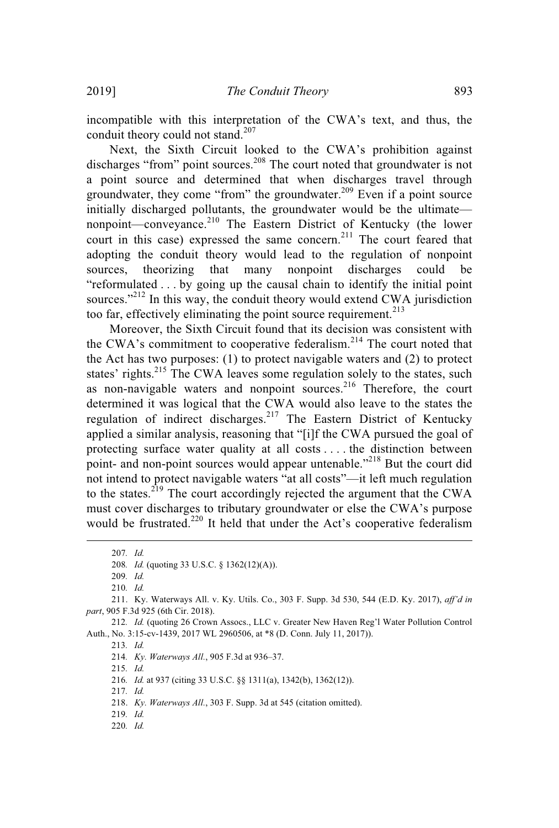incompatible with this interpretation of the CWA's text, and thus, the conduit theory could not stand.<sup>207</sup>

Next, the Sixth Circuit looked to the CWA's prohibition against discharges "from" point sources.<sup>208</sup> The court noted that groundwater is not a point source and determined that when discharges travel through groundwater, they come "from" the groundwater.<sup>209</sup> Even if a point source initially discharged pollutants, the groundwater would be the ultimate nonpoint—conveyance.<sup>210</sup> The Eastern District of Kentucky (the lower court in this case) expressed the same concern.<sup>211</sup> The court feared that adopting the conduit theory would lead to the regulation of nonpoint sources, theorizing that many nonpoint discharges could be "reformulated . . . by going up the causal chain to identify the initial point sources."<sup>212</sup> In this way, the conduit theory would extend CWA jurisdiction too far, effectively eliminating the point source requirement. $^{213}$ 

Moreover, the Sixth Circuit found that its decision was consistent with the CWA's commitment to cooperative federalism.<sup>214</sup> The court noted that the Act has two purposes: (1) to protect navigable waters and (2) to protect states' rights.<sup>215</sup> The CWA leaves some regulation solely to the states, such as non-navigable waters and nonpoint sources.<sup>216</sup> Therefore, the court determined it was logical that the CWA would also leave to the states the regulation of indirect discharges.<sup>217</sup> The Eastern District of Kentucky applied a similar analysis, reasoning that "[i]f the CWA pursued the goal of protecting surface water quality at all costs . . . . the distinction between point- and non-point sources would appear untenable."<sup>218</sup> But the court did not intend to protect navigable waters "at all costs"—it left much regulation to the states.<sup>219</sup> The court accordingly rejected the argument that the CWA must cover discharges to tributary groundwater or else the CWA's purpose would be frustrated.<sup>220</sup> It held that under the Act's cooperative federalism

209*. Id.*

210*. Id.*

215*. Id.*

216*. Id.* at 937 (citing 33 U.S.C. §§ 1311(a), 1342(b), 1362(12)).

217*. Id.*

219*. Id.*

<sup>207</sup>*. Id.*

<sup>208</sup>*. Id.* (quoting 33 U.S.C. § 1362(12)(A)).

<sup>211.</sup> Ky. Waterways All. v. Ky. Utils. Co., 303 F. Supp. 3d 530, 544 (E.D. Ky. 2017), *aff'd in part*, 905 F.3d 925 (6th Cir. 2018).

<sup>212</sup>*. Id.* (quoting 26 Crown Assocs., LLC v. Greater New Haven Reg'l Water Pollution Control Auth., No. 3:15-cv-1439, 2017 WL 2960506, at \*8 (D. Conn. July 11, 2017)).

<sup>213</sup>*. Id.*

<sup>214</sup>*. Ky. Waterways All.*, 905 F.3d at 936–37.

<sup>218.</sup> *Ky. Waterways All.*, 303 F. Supp. 3d at 545 (citation omitted).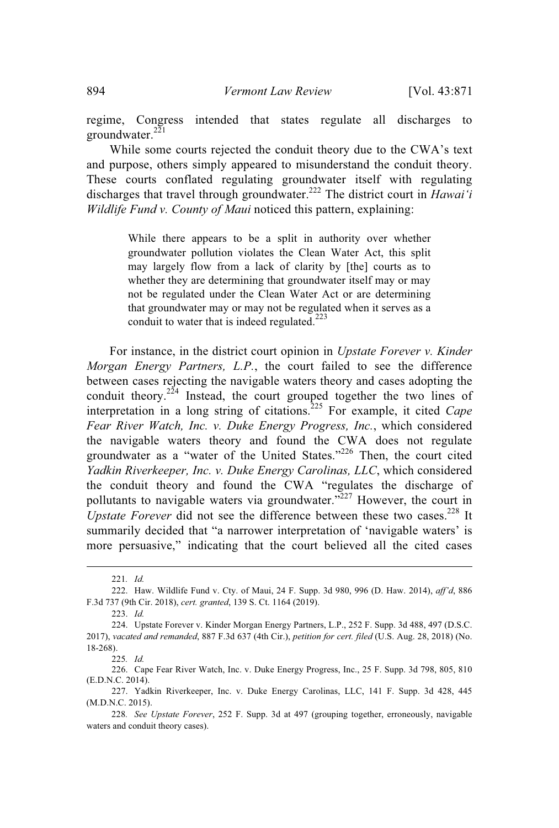regime, Congress intended that states regulate all discharges to groundwater.<sup>221</sup>

While some courts rejected the conduit theory due to the CWA's text and purpose, others simply appeared to misunderstand the conduit theory. These courts conflated regulating groundwater itself with regulating discharges that travel through groundwater.<sup>222</sup> The district court in *Hawai'i Wildlife Fund v. County of Maui* noticed this pattern, explaining:

> While there appears to be a split in authority over whether groundwater pollution violates the Clean Water Act, this split may largely flow from a lack of clarity by [the] courts as to whether they are determining that groundwater itself may or may not be regulated under the Clean Water Act or are determining that groundwater may or may not be regulated when it serves as a conduit to water that is indeed regulated.<sup>223</sup>

For instance, in the district court opinion in *Upstate Forever v. Kinder Morgan Energy Partners, L.P.*, the court failed to see the difference between cases rejecting the navigable waters theory and cases adopting the conduit theory.<sup>224</sup> Instead, the court grouped together the two lines of interpretation in a long string of citations. <sup>225</sup> For example, it cited *Cape Fear River Watch, Inc. v. Duke Energy Progress, Inc.*, which considered the navigable waters theory and found the CWA does not regulate groundwater as a "water of the United States."<sup>226</sup> Then, the court cited *Yadkin Riverkeeper, Inc. v. Duke Energy Carolinas, LLC*, which considered the conduit theory and found the CWA "regulates the discharge of pollutants to navigable waters via groundwater. $\frac{3227}{227}$  However, the court in Upstate Forever did not see the difference between these two cases.<sup>228</sup> It summarily decided that "a narrower interpretation of 'navigable waters' is more persuasive," indicating that the court believed all the cited cases

<sup>221</sup>*. Id.*

<sup>222.</sup> Haw. Wildlife Fund v. Cty. of Maui, 24 F. Supp. 3d 980, 996 (D. Haw. 2014), *aff'd*, 886 F.3d 737 (9th Cir. 2018), *cert. granted*, 139 S. Ct. 1164 (2019).

<sup>223.</sup> *Id.*

<sup>224.</sup> Upstate Forever v. Kinder Morgan Energy Partners, L.P., 252 F. Supp. 3d 488, 497 (D.S.C. 2017), *vacated and remanded*, 887 F.3d 637 (4th Cir.), *petition for cert. filed* (U.S. Aug. 28, 2018) (No. 18-268).

<sup>225</sup>*. Id.*

<sup>226.</sup> Cape Fear River Watch, Inc. v. Duke Energy Progress, Inc., 25 F. Supp. 3d 798, 805, 810 (E.D.N.C. 2014).

<sup>227.</sup> Yadkin Riverkeeper, Inc. v. Duke Energy Carolinas, LLC, 141 F. Supp. 3d 428, 445 (M.D.N.C. 2015).

<sup>228</sup>*. See Upstate Forever*, 252 F. Supp. 3d at 497 (grouping together, erroneously, navigable waters and conduit theory cases).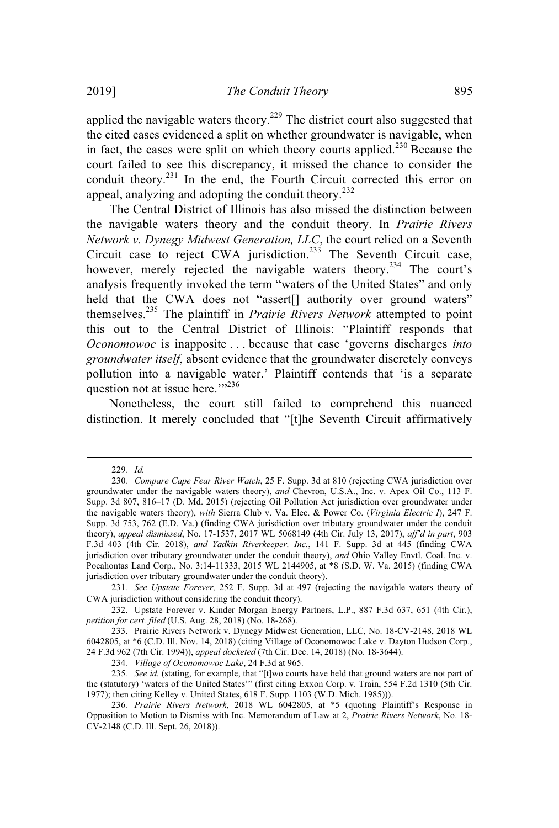applied the navigable waters theory.<sup>229</sup> The district court also suggested that the cited cases evidenced a split on whether groundwater is navigable, when in fact, the cases were split on which theory courts applied.<sup>230</sup> Because the court failed to see this discrepancy, it missed the chance to consider the conduit theory.<sup>231</sup> In the end, the Fourth Circuit corrected this error on appeal, analyzing and adopting the conduit theory.<sup>232</sup>

The Central District of Illinois has also missed the distinction between the navigable waters theory and the conduit theory. In *Prairie Rivers Network v. Dynegy Midwest Generation, LLC*, the court relied on a Seventh Circuit case to reject CWA jurisdiction.<sup>233</sup> The Seventh Circuit case, however, merely rejected the navigable waters theory.<sup>234</sup> The court's analysis frequently invoked the term "waters of the United States" and only held that the CWA does not "assert[] authority over ground waters" themselves. <sup>235</sup> The plaintiff in *Prairie Rivers Network* attempted to point this out to the Central District of Illinois: "Plaintiff responds that *Oconomowoc* is inapposite . . . because that case 'governs discharges *into groundwater itself*, absent evidence that the groundwater discretely conveys pollution into a navigable water.' Plaintiff contends that 'is a separate question not at issue here. $\frac{1}{2}$ <sup>236</sup>

Nonetheless, the court still failed to comprehend this nuanced distinction. It merely concluded that "[t]he Seventh Circuit affirmatively

<sup>229</sup>*. Id.*

<sup>230</sup>*. Compare Cape Fear River Watch*, 25 F. Supp. 3d at 810 (rejecting CWA jurisdiction over groundwater under the navigable waters theory), *and* Chevron, U.S.A., Inc. v. Apex Oil Co., 113 F. Supp. 3d 807, 816–17 (D. Md. 2015) (rejecting Oil Pollution Act jurisdiction over groundwater under the navigable waters theory), *with* Sierra Club v. Va. Elec. & Power Co. (*Virginia Electric I*), 247 F. Supp. 3d 753, 762 (E.D. Va.) (finding CWA jurisdiction over tributary groundwater under the conduit theory), *appeal dismissed*, No. 17-1537, 2017 WL 5068149 (4th Cir. July 13, 2017), *aff'd in part*, 903 F.3d 403 (4th Cir. 2018), *and Yadkin Riverkeeper, Inc.*, 141 F. Supp. 3d at 445 (finding CWA jurisdiction over tributary groundwater under the conduit theory), *and* Ohio Valley Envtl. Coal. Inc. v. Pocahontas Land Corp., No. 3:14-11333, 2015 WL 2144905, at \*8 (S.D. W. Va. 2015) (finding CWA jurisdiction over tributary groundwater under the conduit theory).

<sup>231</sup>*. See Upstate Forever,* 252 F. Supp. 3d at 497 (rejecting the navigable waters theory of CWA jurisdiction without considering the conduit theory).

<sup>232.</sup> Upstate Forever v. Kinder Morgan Energy Partners, L.P., 887 F.3d 637, 651 (4th Cir.), *petition for cert. filed* (U.S. Aug. 28, 2018) (No. 18-268).

<sup>233.</sup> Prairie Rivers Network v. Dynegy Midwest Generation, LLC, No. 18-CV-2148, 2018 WL 6042805, at \*6 (C.D. Ill. Nov. 14, 2018) (citing Village of Oconomowoc Lake v. Dayton Hudson Corp., 24 F.3d 962 (7th Cir. 1994)), *appeal docketed* (7th Cir. Dec. 14, 2018) (No. 18-3644).

<sup>234</sup>*. Village of Oconomowoc Lake*, 24 F.3d at 965.

<sup>235</sup>*. See id.* (stating, for example, that "[t]wo courts have held that ground waters are not part of the (statutory) 'waters of the United States'" (first citing Exxon Corp. v. Train, 554 F.2d 1310 (5th Cir. 1977); then citing Kelley v. United States, 618 F. Supp. 1103 (W.D. Mich. 1985))).

<sup>236</sup>*. Prairie Rivers Network*, 2018 WL 6042805, at \*5 (quoting Plaintiff's Response in Opposition to Motion to Dismiss with Inc. Memorandum of Law at 2, *Prairie Rivers Network*, No. 18- CV-2148 (C.D. Ill. Sept. 26, 2018)).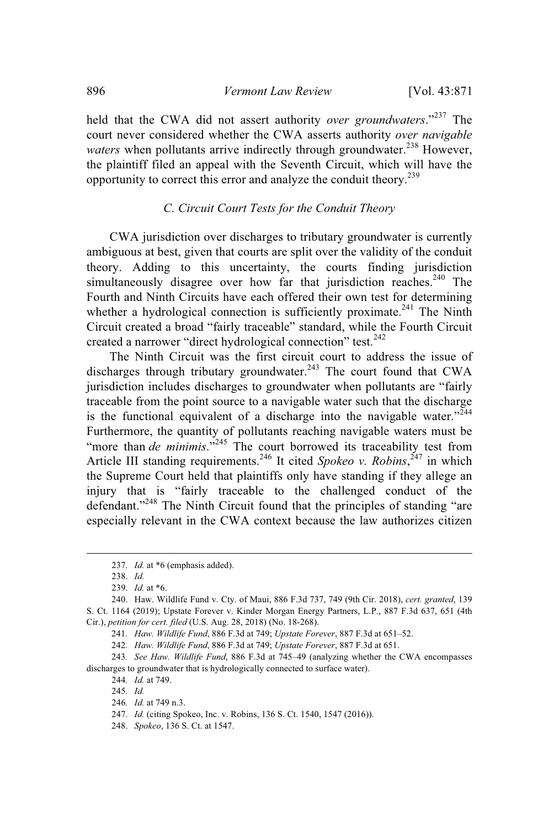held that the CWA did not assert authority *over groundwaters*."<sup>237</sup> The court never considered whether the CWA asserts authority *over navigable waters* when pollutants arrive indirectly through groundwater.<sup>238</sup> However, the plaintiff filed an appeal with the Seventh Circuit, which will have the opportunity to correct this error and analyze the conduit theory.<sup>239</sup>

# *C. Circuit Court Tests for the Conduit Theory*

CWA jurisdiction over discharges to tributary groundwater is currently ambiguous at best, given that courts are split over the validity of the conduit theory. Adding to this uncertainty, the courts finding jurisdiction simultaneously disagree over how far that jurisdiction reaches.<sup>240</sup> The Fourth and Ninth Circuits have each offered their own test for determining whether a hydrological connection is sufficiently proximate.<sup>241</sup> The Ninth Circuit created a broad "fairly traceable" standard, while the Fourth Circuit created a narrower "direct hydrological connection" test.<sup>242</sup>

The Ninth Circuit was the first circuit court to address the issue of discharges through tributary groundwater.<sup>243</sup> The court found that CWA jurisdiction includes discharges to groundwater when pollutants are "fairly traceable from the point source to a navigable water such that the discharge is the functional equivalent of a discharge into the navigable water."<sup>244</sup> Furthermore, the quantity of pollutants reaching navigable waters must be "more than *de minimis*."<sup>245</sup> The court borrowed its traceability test from Article III standing requirements.<sup>246</sup> It cited Spokeo v. Robins,<sup>247</sup> in which the Supreme Court held that plaintiffs only have standing if they allege an injury that is "fairly traceable to the challenged conduct of the defendant."<sup>248</sup> The Ninth Circuit found that the principles of standing "are especially relevant in the CWA context because the law authorizes citizen

<sup>237</sup>*. Id.* at \*6 (emphasis added).

<sup>238.</sup> *Id.*

<sup>239.</sup> *Id.* at \*6.

<sup>240.</sup> Haw. Wildlife Fund v. Cty. of Maui, 886 F.3d 737, 749 (9th Cir. 2018), *cert. granted*, 139 S. Ct. 1164 (2019); Upstate Forever v. Kinder Morgan Energy Partners, L.P., 887 F.3d 637, 651 (4th Cir.), *petition for cert. filed* (U.S. Aug. 28, 2018) (No. 18-268).

<sup>241</sup>*. Haw. Wildlife Fund*, 886 F.3d at 749; *Upstate Forever*, 887 F.3d at 651–52.

<sup>242</sup>*. Haw. Wildlife Fund*, 886 F.3d at 749; *Upstate Forever*, 887 F.3d at 651.

<sup>243</sup>*. See Haw. Wildlife Fund*, 886 F.3d at 745–49 (analyzing whether the CWA encompasses discharges to groundwater that is hydrologically connected to surface water).

<sup>244</sup>*. Id.* at 749.

<sup>245</sup>*. Id.*

<sup>246</sup>*. Id.* at 749 n.3.

<sup>247</sup>*. Id.* (citing Spokeo, Inc. v. Robins, 136 S. Ct. 1540, 1547 (2016)).

<sup>248.</sup> *Spokeo*, 136 S. Ct. at 1547.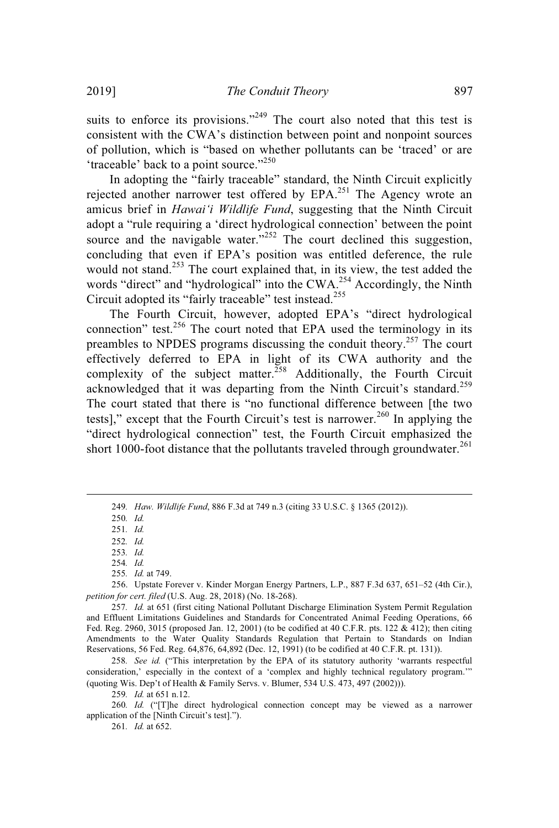suits to enforce its provisions."<sup>249</sup> The court also noted that this test is consistent with the CWA's distinction between point and nonpoint sources of pollution, which is "based on whether pollutants can be 'traced' or are 'traceable' back to a point source."<sup>250</sup>

In adopting the "fairly traceable" standard, the Ninth Circuit explicitly rejected another narrower test offered by EPA.<sup>251</sup> The Agency wrote an amicus brief in *Hawai'i Wildlife Fund*, suggesting that the Ninth Circuit adopt a "rule requiring a 'direct hydrological connection' between the point source and the navigable water."<sup>252</sup> The court declined this suggestion, concluding that even if EPA's position was entitled deference, the rule would not stand.<sup>253</sup> The court explained that, in its view, the test added the words "direct" and "hydrological" into the CWA.<sup>254</sup> Accordingly, the Ninth Circuit adopted its "fairly traceable" test instead.<sup>255</sup>

The Fourth Circuit, however, adopted EPA's "direct hydrological connection" test.<sup>256</sup> The court noted that EPA used the terminology in its preambles to NPDES programs discussing the conduit theory.<sup>257</sup> The court effectively deferred to EPA in light of its CWA authority and the complexity of the subject matter.<sup>258</sup> Additionally, the Fourth Circuit acknowledged that it was departing from the Ninth Circuit's standard.<sup>259</sup> The court stated that there is "no functional difference between [the two tests]," except that the Fourth Circuit's test is narrower.<sup>260</sup> In applying the "direct hydrological connection" test, the Fourth Circuit emphasized the short 1000-foot distance that the pollutants traveled through groundwater.<sup>261</sup>

250*. Id.*

251*. Id.*

252*. Id.*

254*. Id.*

259*. Id.* at 651 n.12.

260*. Id.* ("[T]he direct hydrological connection concept may be viewed as a narrower application of the [Ninth Circuit's test].").

261*. Id.* at 652.

<sup>249</sup>*. Haw. Wildlife Fund*, 886 F.3d at 749 n.3 (citing 33 U.S.C. § 1365 (2012)).

<sup>253</sup>*. Id.*

<sup>255</sup>*. Id.* at 749.

<sup>256.</sup> Upstate Forever v. Kinder Morgan Energy Partners, L.P., 887 F.3d 637, 651–52 (4th Cir.), *petition for cert. filed* (U.S. Aug. 28, 2018) (No. 18-268).

<sup>257</sup>*. Id.* at 651 (first citing National Pollutant Discharge Elimination System Permit Regulation and Effluent Limitations Guidelines and Standards for Concentrated Animal Feeding Operations, 66 Fed. Reg. 2960, 3015 (proposed Jan. 12, 2001) (to be codified at 40 C.F.R. pts. 122 & 412); then citing Amendments to the Water Quality Standards Regulation that Pertain to Standards on Indian Reservations, 56 Fed. Reg. 64,876, 64,892 (Dec. 12, 1991) (to be codified at 40 C.F.R. pt. 131)).

<sup>258</sup>*. See id.* ("This interpretation by the EPA of its statutory authority 'warrants respectful consideration,' especially in the context of a 'complex and highly technical regulatory program.'" (quoting Wis. Dep't of Health & Family Servs. v. Blumer, 534 U.S. 473, 497 (2002))).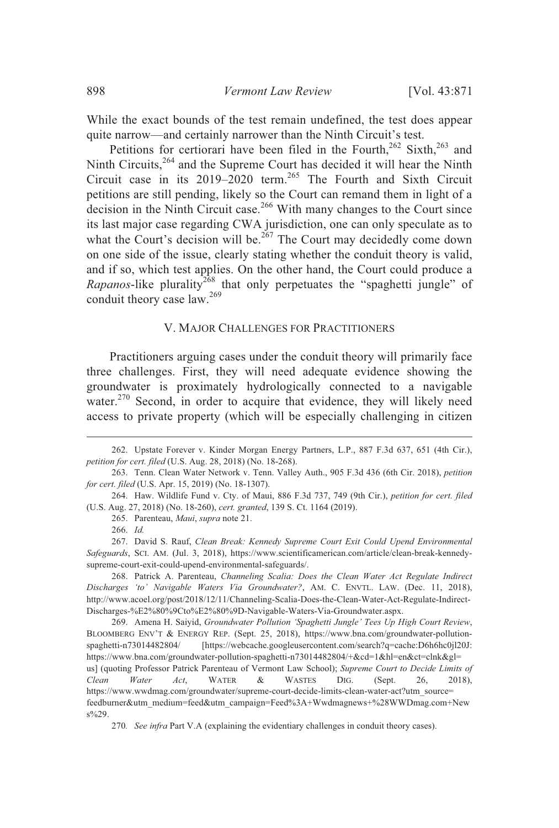While the exact bounds of the test remain undefined, the test does appear quite narrow—and certainly narrower than the Ninth Circuit's test.

Petitions for certiorari have been filed in the Fourth,<sup>262</sup> Sixth,<sup>263</sup> and Ninth Circuits,<sup>264</sup> and the Supreme Court has decided it will hear the Ninth Circuit case in its 2019–2020 term. <sup>265</sup> The Fourth and Sixth Circuit petitions are still pending, likely so the Court can remand them in light of a decision in the Ninth Circuit case.<sup>266</sup> With many changes to the Court since its last major case regarding CWA jurisdiction, one can only speculate as to what the Court's decision will be.<sup>267</sup> The Court may decidedly come down on one side of the issue, clearly stating whether the conduit theory is valid, and if so, which test applies. On the other hand, the Court could produce a *Rapanos*-like plurality<sup>268</sup> that only perpetuates the "spaghetti jungle" of conduit theory case law.<sup>269</sup>

#### V. MAJOR CHALLENGES FOR PRACTITIONERS

Practitioners arguing cases under the conduit theory will primarily face three challenges. First, they will need adequate evidence showing the groundwater is proximately hydrologically connected to a navigable water.<sup>270</sup> Second, in order to acquire that evidence, they will likely need access to private property (which will be especially challenging in citizen

265. Parenteau, *Maui*, *supra* note 21.

268. Patrick A. Parenteau, *Channeling Scalia: Does the Clean Water Act Regulate Indirect Discharges 'to' Navigable Waters Via Groundwater?*, AM. C. ENVTL. LAW. (Dec. 11, 2018), http://www.acoel.org/post/2018/12/11/Channeling-Scalia-Does-the-Clean-Water-Act-Regulate-Indirect-Discharges-%E2%80%9Cto%E2%80%9D-Navigable-Waters-Via-Groundwater.aspx.

269. Amena H. Saiyid, *Groundwater Pollution 'Spaghetti Jungle' Tees Up High Court Review*, BLOOMBERG ENV'T & ENERGY REP. (Sept. 25, 2018), https://www.bna.com/groundwater-pollutionspaghetti-n73014482804/ [https://webcache.googleusercontent.com/search?q=cache:D6h6hc0jl20J: https://www.bna.com/groundwater-pollution-spaghetti-n73014482804/+&cd=1&hl=en&ct=clnk&gl= us] (quoting Professor Patrick Parenteau of Vermont Law School); *Supreme Court to Decide Limits of Clean Water Act*, WATER & WASTES DIG. (Sept. 26, 2018), https://www.wwdmag.com/groundwater/supreme-court-decide-limits-clean-water-act?utm\_source= feedburner&utm\_medium=feed&utm\_campaign=Feed%3A+Wwdmagnews+%28WWDmag.com+New s%29.

<sup>262.</sup> Upstate Forever v. Kinder Morgan Energy Partners, L.P., 887 F.3d 637, 651 (4th Cir.), *petition for cert. filed* (U.S. Aug. 28, 2018) (No. 18-268).

<sup>263.</sup> Tenn. Clean Water Network v. Tenn. Valley Auth., 905 F.3d 436 (6th Cir. 2018), *petition for cert. filed* (U.S. Apr. 15, 2019) (No. 18-1307).

<sup>264.</sup> Haw. Wildlife Fund v. Cty. of Maui, 886 F.3d 737, 749 (9th Cir.), *petition for cert. filed* (U.S. Aug. 27, 2018) (No. 18-260), *cert. granted*, 139 S. Ct. 1164 (2019).

<sup>266.</sup> *Id.*

<sup>267.</sup> David S. Rauf, *Clean Break: Kennedy Supreme Court Exit Could Upend Environmental Safeguards*, SCI. AM. (Jul. 3, 2018), https://www.scientificamerican.com/article/clean-break-kennedysupreme-court-exit-could-upend-environmental-safeguards/.

<sup>270</sup>*. See infra* Part V.A (explaining the evidentiary challenges in conduit theory cases).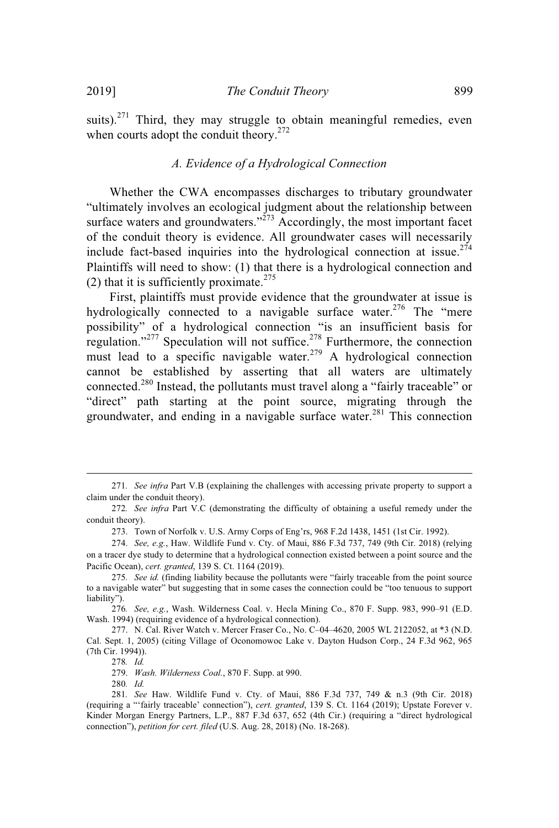suits). $271$  Third, they may struggle to obtain meaningful remedies, even when courts adopt the conduit theory.<sup>272</sup>

#### *A. Evidence of a Hydrological Connection*

Whether the CWA encompasses discharges to tributary groundwater "ultimately involves an ecological judgment about the relationship between surface waters and groundwaters." $^{273}$  Accordingly, the most important facet of the conduit theory is evidence. All groundwater cases will necessarily include fact-based inquiries into the hydrological connection at issue.<sup>274</sup> Plaintiffs will need to show: (1) that there is a hydrological connection and (2) that it is sufficiently proximate.<sup>275</sup>

First, plaintiffs must provide evidence that the groundwater at issue is hydrologically connected to a navigable surface water.<sup>276</sup> The "mere possibility" of a hydrological connection "is an insufficient basis for regulation."<sup>277</sup> Speculation will not suffice.<sup>278</sup> Furthermore, the connection must lead to a specific navigable water.<sup>279</sup> A hydrological connection cannot be established by asserting that all waters are ultimately connected.<sup>280</sup> Instead, the pollutants must travel along a "fairly traceable" or "direct" path starting at the point source, migrating through the groundwater, and ending in a navigable surface water. <sup>281</sup> This connection

273. Town of Norfolk v. U.S. Army Corps of Eng'rs, 968 F.2d 1438, 1451 (1st Cir. 1992).

279. *Wash. Wilderness Coal.*, 870 F. Supp. at 990.

<sup>271</sup>*. See infra* Part V.B (explaining the challenges with accessing private property to support a claim under the conduit theory).

<sup>272</sup>*. See infra* Part V.C (demonstrating the difficulty of obtaining a useful remedy under the conduit theory).

<sup>274.</sup> *See, e.g.*, Haw. Wildlife Fund v. Cty. of Maui, 886 F.3d 737, 749 (9th Cir. 2018) (relying on a tracer dye study to determine that a hydrological connection existed between a point source and the Pacific Ocean), *cert. granted*, 139 S. Ct. 1164 (2019).

<sup>275</sup>*. See id.* (finding liability because the pollutants were "fairly traceable from the point source to a navigable water" but suggesting that in some cases the connection could be "too tenuous to support liability").

<sup>276</sup>*. See, e.g.*, Wash. Wilderness Coal. v. Hecla Mining Co., 870 F. Supp. 983, 990–91 (E.D. Wash. 1994) (requiring evidence of a hydrological connection).

<sup>277.</sup> N. Cal. River Watch v. Mercer Fraser Co., No. C–04–4620, 2005 WL 2122052, at \*3 (N.D. Cal. Sept. 1, 2005) (citing Village of Oconomowoc Lake v. Dayton Hudson Corp., 24 F.3d 962, 965 (7th Cir. 1994)).

<sup>278</sup>*. Id.*

<sup>280</sup>*. Id.*

<sup>281</sup>*. See* Haw. Wildlife Fund v. Cty. of Maui, 886 F.3d 737, 749 & n.3 (9th Cir. 2018) (requiring a "'fairly traceable' connection"), *cert. granted*, 139 S. Ct. 1164 (2019); Upstate Forever v. Kinder Morgan Energy Partners, L.P., 887 F.3d 637, 652 (4th Cir.) (requiring a "direct hydrological connection"), *petition for cert. filed* (U.S. Aug. 28, 2018) (No. 18-268).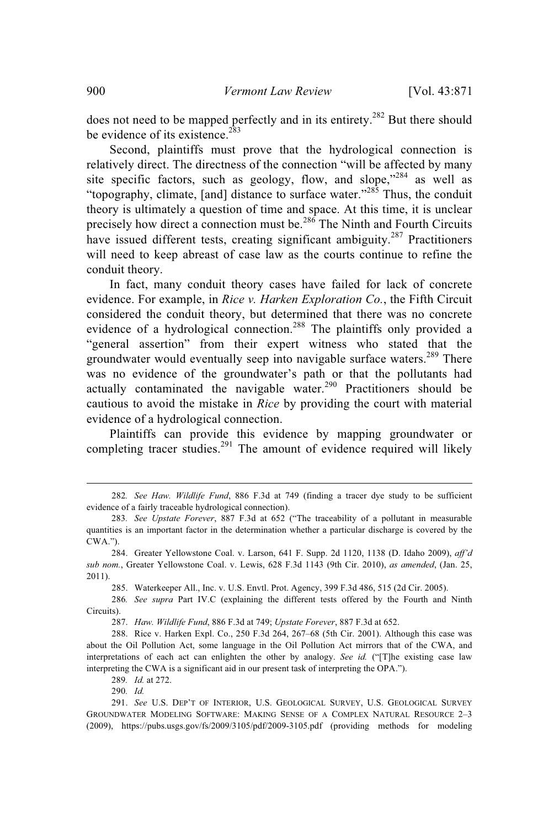does not need to be mapped perfectly and in its entirety.<sup>282</sup> But there should be evidence of its existence.<sup>283</sup>

Second, plaintiffs must prove that the hydrological connection is relatively direct. The directness of the connection "will be affected by many site specific factors, such as geology, flow, and slope,"<sup>284</sup> as well as "topography, climate, [and] distance to surface water."<sup>285</sup> Thus, the conduit theory is ultimately a question of time and space. At this time, it is unclear precisely how direct a connection must be.<sup>286</sup> The Ninth and Fourth Circuits have issued different tests, creating significant ambiguity.<sup>287</sup> Practitioners will need to keep abreast of case law as the courts continue to refine the conduit theory.

In fact, many conduit theory cases have failed for lack of concrete evidence. For example, in *Rice v. Harken Exploration Co.*, the Fifth Circuit considered the conduit theory, but determined that there was no concrete evidence of a hydrological connection.<sup>288</sup> The plaintiffs only provided a "general assertion" from their expert witness who stated that the groundwater would eventually seep into navigable surface waters.<sup>289</sup> There was no evidence of the groundwater's path or that the pollutants had actually contaminated the navigable water.<sup>290</sup> Practitioners should be cautious to avoid the mistake in *Rice* by providing the court with material evidence of a hydrological connection.

Plaintiffs can provide this evidence by mapping groundwater or completing tracer studies. $291$  The amount of evidence required will likely

285. Waterkeeper All., Inc. v. U.S. Envtl. Prot. Agency, 399 F.3d 486, 515 (2d Cir. 2005).

286*. See supra* Part IV.C (explaining the different tests offered by the Fourth and Ninth Circuits).

287. *Haw. Wildlife Fund*, 886 F.3d at 749; *Upstate Forever*, 887 F.3d at 652.

288. Rice v. Harken Expl. Co., 250 F.3d 264, 267–68 (5th Cir. 2001). Although this case was about the Oil Pollution Act, some language in the Oil Pollution Act mirrors that of the CWA, and interpretations of each act can enlighten the other by analogy. *See id.* ("[T]he existing case law interpreting the CWA is a significant aid in our present task of interpreting the OPA.").

289*. Id.* at 272.

<sup>282</sup>*. See Haw. Wildlife Fund*, 886 F.3d at 749 (finding a tracer dye study to be sufficient evidence of a fairly traceable hydrological connection).

<sup>283</sup>*. See Upstate Forever*, 887 F.3d at 652 ("The traceability of a pollutant in measurable quantities is an important factor in the determination whether a particular discharge is covered by the CWA.").

<sup>284.</sup> Greater Yellowstone Coal. v. Larson, 641 F. Supp. 2d 1120, 1138 (D. Idaho 2009), *aff'd sub nom.*, Greater Yellowstone Coal. v. Lewis, 628 F.3d 1143 (9th Cir. 2010), *as amended*, (Jan. 25, 2011).

<sup>291.</sup> *See* U.S. DEP'T OF INTERIOR, U.S. GEOLOGICAL SURVEY, U.S. GEOLOGICAL SURVEY GROUNDWATER MODELING SOFTWARE: MAKING SENSE OF A COMPLEX NATURAL RESOURCE 2–3 (2009), https://pubs.usgs.gov/fs/2009/3105/pdf/2009-3105.pdf (providing methods for modeling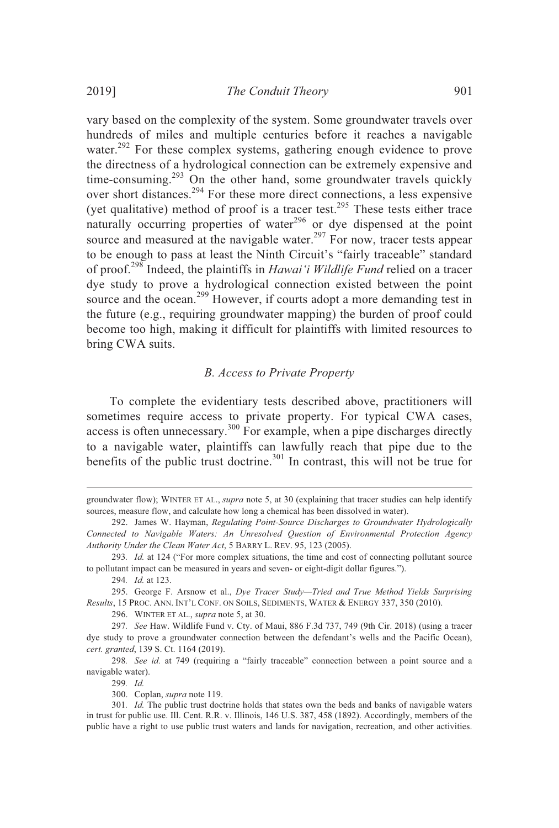vary based on the complexity of the system. Some groundwater travels over hundreds of miles and multiple centuries before it reaches a navigable water.<sup>292</sup> For these complex systems, gathering enough evidence to prove the directness of a hydrological connection can be extremely expensive and time-consuming.<sup>293</sup> On the other hand, some groundwater travels quickly over short distances.<sup>294</sup> For these more direct connections, a less expensive (yet qualitative) method of proof is a tracer test.<sup>295</sup> These tests either trace naturally occurring properties of water $296$  or dye dispensed at the point source and measured at the navigable water.<sup>297</sup> For now, tracer tests appear to be enough to pass at least the Ninth Circuit's "fairly traceable" standard of proof.<sup>298</sup> Indeed, the plaintiffs in *Hawai'i Wildlife Fund* relied on a tracer dye study to prove a hydrological connection existed between the point source and the ocean.<sup>299</sup> However, if courts adopt a more demanding test in the future (e.g., requiring groundwater mapping) the burden of proof could become too high, making it difficult for plaintiffs with limited resources to

# bring CWA suits.

### *B. Access to Private Property*

To complete the evidentiary tests described above, practitioners will sometimes require access to private property. For typical CWA cases, access is often unnecessary.<sup>300</sup> For example, when a pipe discharges directly to a navigable water, plaintiffs can lawfully reach that pipe due to the benefits of the public trust doctrine.<sup>301</sup> In contrast, this will not be true for

groundwater flow); WINTER ET AL., *supra* note 5, at 30 (explaining that tracer studies can help identify sources, measure flow, and calculate how long a chemical has been dissolved in water).

<sup>292.</sup> James W. Hayman, *Regulating Point-Source Discharges to Groundwater Hydrologically Connected to Navigable Waters: An Unresolved Question of Environmental Protection Agency Authority Under the Clean Water Act*, 5 BARRY L. REV. 95, 123 (2005).

<sup>293</sup>*. Id.* at 124 ("For more complex situations, the time and cost of connecting pollutant source to pollutant impact can be measured in years and seven- or eight-digit dollar figures.").

<sup>294</sup>*. Id.* at 123.

<sup>295.</sup> George F. Arsnow et al., *Dye Tracer Study—Tried and True Method Yields Surprising Results*, 15 PROC. ANN. INT'L CONF. ON SOILS, SEDIMENTS, WATER & ENERGY 337, 350 (2010).

<sup>296.</sup> WINTER ET AL., *supra* note 5, at 30.

<sup>297</sup>*. See* Haw. Wildlife Fund v. Cty. of Maui, 886 F.3d 737, 749 (9th Cir. 2018) (using a tracer dye study to prove a groundwater connection between the defendant's wells and the Pacific Ocean), *cert. granted*, 139 S. Ct. 1164 (2019).

<sup>298</sup>*. See id.* at 749 (requiring a "fairly traceable" connection between a point source and a navigable water).

<sup>300.</sup> Coplan, *supra* note 119.

<sup>301</sup>*. Id.* The public trust doctrine holds that states own the beds and banks of navigable waters in trust for public use. Ill. Cent. R.R. v. Illinois, 146 U.S. 387, 458 (1892). Accordingly, members of the public have a right to use public trust waters and lands for navigation, recreation, and other activities.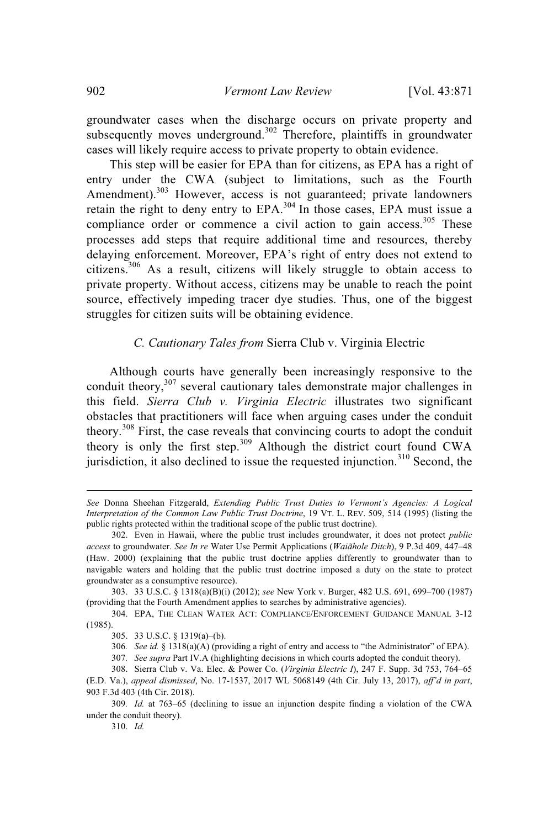groundwater cases when the discharge occurs on private property and subsequently moves underground.<sup>302</sup> Therefore, plaintiffs in groundwater cases will likely require access to private property to obtain evidence.

This step will be easier for EPA than for citizens, as EPA has a right of entry under the CWA (subject to limitations, such as the Fourth Amendment).<sup>303</sup> However, access is not guaranteed; private landowners retain the right to deny entry to EPA.<sup>304</sup> In those cases, EPA must issue a compliance order or commence a civil action to gain access.<sup>305</sup> These processes add steps that require additional time and resources, thereby delaying enforcement. Moreover, EPA's right of entry does not extend to citizens.<sup>306</sup> As a result, citizens will likely struggle to obtain access to private property. Without access, citizens may be unable to reach the point source, effectively impeding tracer dye studies. Thus, one of the biggest struggles for citizen suits will be obtaining evidence.

#### *C. Cautionary Tales from* Sierra Club v. Virginia Electric

Although courts have generally been increasingly responsive to the conduit theory,<sup>307</sup> several cautionary tales demonstrate major challenges in this field. *Sierra Club v. Virginia Electric* illustrates two significant obstacles that practitioners will face when arguing cases under the conduit theory.<sup>308</sup> First, the case reveals that convincing courts to adopt the conduit theory is only the first step. <sup>309</sup> Although the district court found CWA jurisdiction, it also declined to issue the requested injunction.<sup>310</sup> Second, the

*See* Donna Sheehan Fitzgerald, *Extending Public Trust Duties to Vermont's Agencies: A Logical Interpretation of the Common Law Public Trust Doctrine*, 19 VT. L. REV. 509, 514 (1995) (listing the public rights protected within the traditional scope of the public trust doctrine).

<sup>302.</sup> Even in Hawaii, where the public trust includes groundwater, it does not protect *public access* to groundwater. *See In re* Water Use Permit Applications (*Waiãhole Ditch*), 9 P.3d 409, 447–48 (Haw. 2000) (explaining that the public trust doctrine applies differently to groundwater than to navigable waters and holding that the public trust doctrine imposed a duty on the state to protect groundwater as a consumptive resource).

<sup>303.</sup> 33 U.S.C. § 1318(a)(B)(i) (2012); *see* New York v. Burger, 482 U.S. 691, 699–700 (1987) (providing that the Fourth Amendment applies to searches by administrative agencies).

<sup>304.</sup> EPA, THE CLEAN WATER ACT: COMPLIANCE/ENFORCEMENT GUIDANCE MANUAL 3-12 (1985).

<sup>305.</sup> 33 U.S.C. § 1319(a)–(b).

<sup>306</sup>*. See id.* § 1318(a)(A) (providing a right of entry and access to "the Administrator" of EPA).

<sup>307</sup>*. See supra* Part IV.A (highlighting decisions in which courts adopted the conduit theory).

<sup>308.</sup> Sierra Club v. Va. Elec. & Power Co. (*Virginia Electric I*), 247 F. Supp. 3d 753, 764–65

<sup>(</sup>E.D. Va.), *appeal dismissed*, No. 17-1537, 2017 WL 5068149 (4th Cir. July 13, 2017), *aff'd in part*, 903 F.3d 403 (4th Cir. 2018).

<sup>309</sup>*. Id.* at 763–65 (declining to issue an injunction despite finding a violation of the CWA under the conduit theory).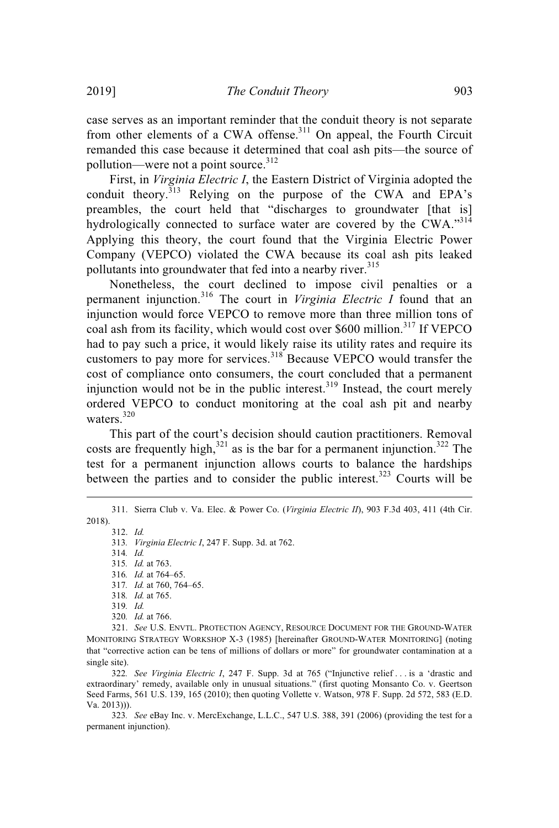case serves as an important reminder that the conduit theory is not separate from other elements of a CWA offense.<sup>311</sup> On appeal, the Fourth Circuit remanded this case because it determined that coal ash pits—the source of pollution—were not a point source.<sup>312</sup>

First, in *Virginia Electric I*, the Eastern District of Virginia adopted the conduit theory.<sup>313</sup> Relying on the purpose of the CWA and EPA's preambles, the court held that "discharges to groundwater [that is] hydrologically connected to surface water are covered by the CWA."314 Applying this theory, the court found that the Virginia Electric Power Company (VEPCO) violated the CWA because its coal ash pits leaked pollutants into groundwater that fed into a nearby river.<sup>315</sup>

Nonetheless, the court declined to impose civil penalties or a permanent injunction. <sup>316</sup> The court in *Virginia Electric I* found that an injunction would force VEPCO to remove more than three million tons of coal ash from its facility, which would cost over \$600 million. <sup>317</sup> If VEPCO had to pay such a price, it would likely raise its utility rates and require its customers to pay more for services.<sup>318</sup> Because VEPCO would transfer the cost of compliance onto consumers, the court concluded that a permanent injunction would not be in the public interest.<sup>319</sup> Instead, the court merely ordered VEPCO to conduct monitoring at the coal ash pit and nearby waters.<sup>320</sup>

This part of the court's decision should caution practitioners. Removal costs are frequently high,  $321$  as is the bar for a permanent injunction.  $322$  The test for a permanent injunction allows courts to balance the hardships between the parties and to consider the public interest.<sup>323</sup> Courts will be

<sup>311.</sup> Sierra Club v. Va. Elec. & Power Co. (*Virginia Electric II*), 903 F.3d 403, 411 (4th Cir. 2018).

<sup>313</sup>*. Virginia Electric I*, 247 F. Supp. 3d. at 762.

<sup>314</sup>*. Id.*

<sup>315</sup>*. Id.* at 763.

<sup>316</sup>*. Id.* at 764–65.

<sup>317</sup>*. Id.* at 760, 764–65.

<sup>318</sup>*. Id.* at 765.

<sup>319</sup>*. Id.* 320*. Id.* at 766.

<sup>321.</sup> *See* U.S. ENVTL. PROTECTION AGENCY, RESOURCE DOCUMENT FOR THE GROUND-WATER MONITORING STRATEGY WORKSHOP X-3 (1985) [hereinafter GROUND-WATER MONITORING] (noting that "corrective action can be tens of millions of dollars or more" for groundwater contamination at a single site).

<sup>322</sup>*. See Virginia Electric I*, 247 F. Supp. 3d at 765 ("Injunctive relief . . . is a 'drastic and extraordinary' remedy, available only in unusual situations." (first quoting Monsanto Co. v. Geertson Seed Farms, 561 U.S. 139, 165 (2010); then quoting Vollette v. Watson, 978 F. Supp. 2d 572, 583 (E.D. Va. 2013))).

<sup>323</sup>*. See* eBay Inc. v. MercExchange, L.L.C., 547 U.S. 388, 391 (2006) (providing the test for a permanent injunction).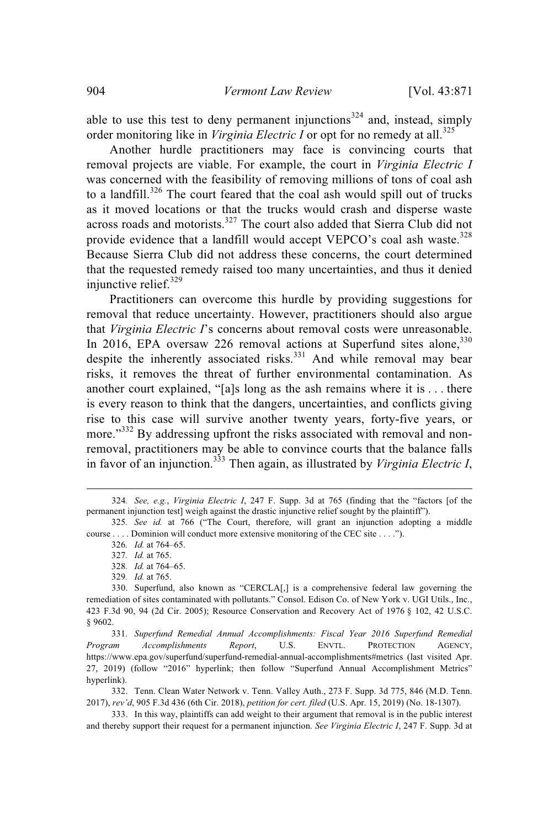able to use this test to deny permanent injunctions<sup>324</sup> and, instead, simply order monitoring like in *Virginia Electric I* or opt for no remedy at all.<sup>325</sup>

Another hurdle practitioners may face is convincing courts that removal projects are viable. For example, the court in *Virginia Electric I* was concerned with the feasibility of removing millions of tons of coal ash to a landfill.<sup>326</sup> The court feared that the coal ash would spill out of trucks as it moved locations or that the trucks would crash and disperse waste across roads and motorists.<sup>327</sup> The court also added that Sierra Club did not provide evidence that a landfill would accept VEPCO's coal ash waste.<sup>328</sup> Because Sierra Club did not address these concerns, the court determined that the requested remedy raised too many uncertainties, and thus it denied injunctive relief.<sup>329</sup>

Practitioners can overcome this hurdle by providing suggestions for removal that reduce uncertainty. However, practitioners should also argue that *Virginia Electric I*'s concerns about removal costs were unreasonable. In 2016, EPA oversaw 226 removal actions at Superfund sites alone, 330 despite the inherently associated risks.<sup>331</sup> And while removal may bear risks, it removes the threat of further environmental contamination. As another court explained, "[a]s long as the ash remains where it is . . . there is every reason to think that the dangers, uncertainties, and conflicts giving rise to this case will survive another twenty years, forty-five years, or more."<sup>332</sup> By addressing upfront the risks associated with removal and nonremoval, practitioners may be able to convince courts that the balance falls in favor of an injunction. <sup>333</sup> Then again, as illustrated by *Virginia Electric I*,

331*. Superfund Remedial Annual Accomplishments: Fiscal Year 2016 Superfund Remedial Program Accomplishments Report*, U.S. ENVTL. PROTECTION AGENCY, https://www.epa.gov/superfund/superfund-remedial-annual-accomplishments#metrics (last visited Apr. 27, 2019) (follow "2016" hyperlink; then follow "Superfund Annual Accomplishment Metrics" hyperlink).

332. Tenn. Clean Water Network v. Tenn. Valley Auth., 273 F. Supp. 3d 775, 846 (M.D. Tenn. 2017), *rev'd*, 905 F.3d 436 (6th Cir. 2018), *petition for cert. filed* (U.S. Apr. 15, 2019) (No. 18-1307).

333. In this way, plaintiffs can add weight to their argument that removal is in the public interest and thereby support their request for a permanent injunction. *See Virginia Electric I*, 247 F. Supp. 3d at

<sup>324</sup>*. See, e.g.*, *Virginia Electric I*, 247 F. Supp. 3d at 765 (finding that the "factors [of the permanent injunction test] weigh against the drastic injunctive relief sought by the plaintiff").

<sup>325</sup>*. See id.* at 766 ("The Court, therefore, will grant an injunction adopting a middle course . . . . Dominion will conduct more extensive monitoring of the CEC site . . . .").

<sup>326</sup>*. Id.* at 764–65.

<sup>327</sup>*. Id.* at 765.

<sup>328</sup>*. Id.* at 764–65.

<sup>329</sup>*. Id.* at 765.

<sup>330.</sup> Superfund, also known as "CERCLA[,] is a comprehensive federal law governing the remediation of sites contaminated with pollutants." Consol. Edison Co. of New York v. UGI Utils., Inc., 423 F.3d 90, 94 (2d Cir. 2005); Resource Conservation and Recovery Act of 1976 § 102, 42 U.S.C. § 9602.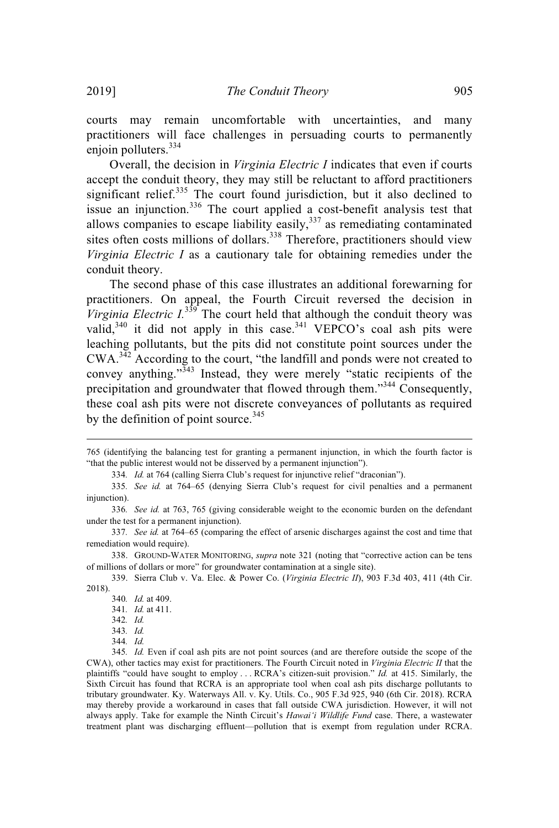courts may remain uncomfortable with uncertainties, and many practitioners will face challenges in persuading courts to permanently enjoin polluters. 334

Overall, the decision in *Virginia Electric I* indicates that even if courts accept the conduit theory, they may still be reluctant to afford practitioners significant relief.<sup>335</sup> The court found jurisdiction, but it also declined to issue an injunction.<sup>336</sup> The court applied a cost-benefit analysis test that allows companies to escape liability easily, $337$  as remediating contaminated sites often costs millions of dollars.<sup>338</sup> Therefore, practitioners should view *Virginia Electric I* as a cautionary tale for obtaining remedies under the conduit theory.

The second phase of this case illustrates an additional forewarning for practitioners. On appeal, the Fourth Circuit reversed the decision in *Virginia Electric*  $I^{339}$  The court held that although the conduit theory was valid, $3^{340}$  it did not apply in this case.  $3^{31}$  VEPCO's coal ash pits were leaching pollutants, but the pits did not constitute point sources under the CWA.<sup>342</sup> According to the court, "the landfill and ponds were not created to convey anything." $343$  Instead, they were merely "static recipients of the precipitation and groundwater that flowed through them."<sup>344</sup> Consequently, these coal ash pits were not discrete conveyances of pollutants as required by the definition of point source.<sup>345</sup>

334*. Id.* at 764 (calling Sierra Club's request for injunctive relief "draconian").

<sup>765</sup> (identifying the balancing test for granting a permanent injunction, in which the fourth factor is "that the public interest would not be disserved by a permanent injunction").

<sup>335</sup>*. See id.* at 764–65 (denying Sierra Club's request for civil penalties and a permanent injunction).

<sup>336</sup>*. See id.* at 763, 765 (giving considerable weight to the economic burden on the defendant under the test for a permanent injunction).

<sup>337</sup>*. See id.* at 764–65 (comparing the effect of arsenic discharges against the cost and time that remediation would require).

<sup>338.</sup> GROUND-WATER MONITORING, *supra* note 321 (noting that "corrective action can be tens of millions of dollars or more" for groundwater contamination at a single site).

<sup>339.</sup> Sierra Club v. Va. Elec. & Power Co. (*Virginia Electric II*), 903 F.3d 403, 411 (4th Cir. 2018).

<sup>340</sup>*. Id.* at 409.

<sup>341</sup>*. Id.* at 411.

<sup>342</sup>*. Id.*

<sup>343</sup>*. Id.*

<sup>344</sup>*. Id.*

<sup>345</sup>*. Id.* Even if coal ash pits are not point sources (and are therefore outside the scope of the CWA), other tactics may exist for practitioners. The Fourth Circuit noted in *Virginia Electric II* that the plaintiffs "could have sought to employ . . . RCRA's citizen-suit provision." *Id.* at 415. Similarly, the Sixth Circuit has found that RCRA is an appropriate tool when coal ash pits discharge pollutants to tributary groundwater. Ky. Waterways All. v. Ky. Utils. Co., 905 F.3d 925, 940 (6th Cir. 2018). RCRA may thereby provide a workaround in cases that fall outside CWA jurisdiction. However, it will not always apply. Take for example the Ninth Circuit's *Hawai'i Wildlife Fund* case. There, a wastewater treatment plant was discharging effluent—pollution that is exempt from regulation under RCRA.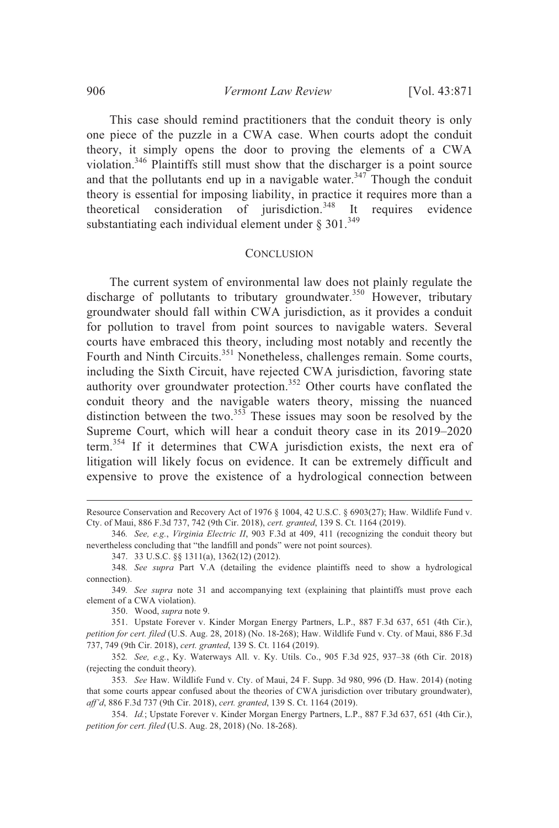This case should remind practitioners that the conduit theory is only one piece of the puzzle in a CWA case. When courts adopt the conduit theory, it simply opens the door to proving the elements of a CWA violation.<sup>346</sup> Plaintiffs still must show that the discharger is a point source and that the pollutants end up in a navigable water.<sup>347</sup> Though the conduit theory is essential for imposing liability, in practice it requires more than a theoretical consideration of jurisdiction.<sup>348</sup> It requires evidence substantiating each individual element under § 301. $^{349}$ 

#### **CONCLUSION**

The current system of environmental law does not plainly regulate the discharge of pollutants to tributary groundwater.<sup>350</sup> However, tributary groundwater should fall within CWA jurisdiction, as it provides a conduit for pollution to travel from point sources to navigable waters. Several courts have embraced this theory, including most notably and recently the Fourth and Ninth Circuits.<sup>351</sup> Nonetheless, challenges remain. Some courts, including the Sixth Circuit, have rejected CWA jurisdiction, favoring state authority over groundwater protection.<sup>352</sup> Other courts have conflated the conduit theory and the navigable waters theory, missing the nuanced distinction between the two.<sup>353</sup> These issues may soon be resolved by the Supreme Court, which will hear a conduit theory case in its 2019–2020 term.<sup>354</sup> If it determines that CWA jurisdiction exists, the next era of litigation will likely focus on evidence. It can be extremely difficult and expensive to prove the existence of a hydrological connection between

350. Wood, *supra* note 9.

351. Upstate Forever v. Kinder Morgan Energy Partners, L.P., 887 F.3d 637, 651 (4th Cir.), *petition for cert. filed* (U.S. Aug. 28, 2018) (No. 18-268); Haw. Wildlife Fund v. Cty. of Maui, 886 F.3d 737, 749 (9th Cir. 2018), *cert. granted*, 139 S. Ct. 1164 (2019).

352*. See, e.g.*, Ky. Waterways All. v. Ky. Utils. Co., 905 F.3d 925, 937–38 (6th Cir. 2018) (rejecting the conduit theory).

353*. See* Haw. Wildlife Fund v. Cty. of Maui, 24 F. Supp. 3d 980, 996 (D. Haw. 2014) (noting that some courts appear confused about the theories of CWA jurisdiction over tributary groundwater), *aff'd*, 886 F.3d 737 (9th Cir. 2018), *cert. granted*, 139 S. Ct. 1164 (2019).

354. *Id.*; Upstate Forever v. Kinder Morgan Energy Partners, L.P., 887 F.3d 637, 651 (4th Cir.), *petition for cert. filed* (U.S. Aug. 28, 2018) (No. 18-268).

Resource Conservation and Recovery Act of 1976 § 1004, 42 U.S.C. § 6903(27); Haw. Wildlife Fund v. Cty. of Maui, 886 F.3d 737, 742 (9th Cir. 2018), *cert. granted*, 139 S. Ct. 1164 (2019).

<sup>346</sup>*. See, e.g.*, *Virginia Electric II*, 903 F.3d at 409, 411 (recognizing the conduit theory but nevertheless concluding that "the landfill and ponds" were not point sources).

<sup>347.</sup> 33 U.S.C. §§ 1311(a), 1362(12) (2012).

<sup>348</sup>*. See supra* Part V.A (detailing the evidence plaintiffs need to show a hydrological connection).

<sup>349</sup>*. See supra* note 31 and accompanying text (explaining that plaintiffs must prove each element of a CWA violation).